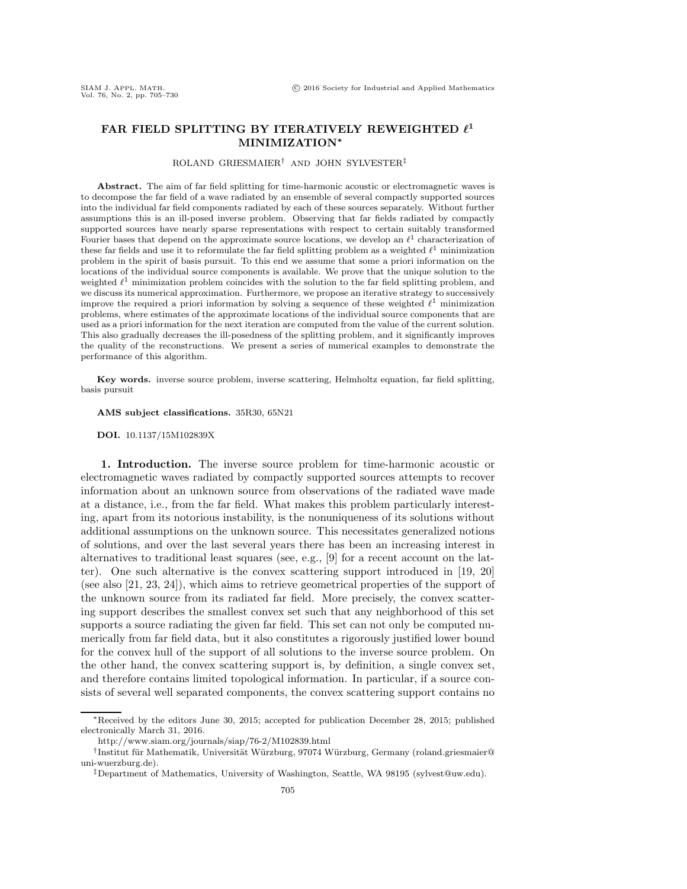# FAR FIELD SPLITTING BY ITERATIVELY REWEIGHTED  $\ell^1$ **MINIMIZATION***∗*

### ROLAND GRIESMAIER† AND JOHN SYLVESTER‡

**Abstract.** The aim of far field splitting for time-harmonic acoustic or electromagnetic waves is to decompose the far field of a wave radiated by an ensemble of several compactly supported sources into the individual far field components radiated by each of these sources separately. Without further assumptions this is an ill-posed inverse problem. Observing that far fields radiated by compactly supported sources have nearly sparse representations with respect to certain suitably transformed Fourier bases that depend on the approximate source locations, we develop an  $\ell^1$  characterization of these far fields and use it to reformulate the far field splitting problem as a weighted  $\ell^1$  minimization problem in the spirit of basis pursuit. To this end we assume that some a priori information on the locations of the individual source components is available. We prove that the unique solution to the weighted  $\ell^1$  minimization problem coincides with the solution to the far field splitting problem, and we discuss its numerical approximation. Furthermore, we propose an iterative strategy to successively improve the required a priori information by solving a sequence of these weighted  $\ell^1$  minimization problems, where estimates of the approximate locations of the individual source components that are used as a priori information for the next iteration are computed from the value of the current solution. This also gradually decreases the ill-posedness of the splitting problem, and it significantly improves the quality of the reconstructions. We present a series of numerical examples to demonstrate the performance of this algorithm.

**Key words.** inverse source problem, inverse scattering, Helmholtz equation, far field splitting, basis pursuit

### **AMS subject classifications.** 35R30, 65N21

#### **DOI.** 10.1137/15M102839X

**1. Introduction.** The inverse source problem for time-harmonic acoustic or electromagnetic waves radiated by compactly supported sources attempts to recover information about an unknown source from observations of the radiated wave made at a distance, i.e., from the far field. What makes this problem particularly interesting, apart from its notorious instability, is the nonuniqueness of its solutions without additional assumptions on the unknown source. This necessitates generalized notions of solutions, and over the last several years there has been an increasing interest in alternatives to traditional least squares (see, e.g., [\[9\]](#page-24-0) for a recent account on the latter). One such alternative is the convex scattering support introduced in [\[19,](#page-24-1) [20\]](#page-24-2) (see also [\[21,](#page-25-0) [23,](#page-25-1) [24\]](#page-25-2)), which aims to retrieve geometrical properties of the support of the unknown source from its radiated far field. More precisely, the convex scattering support describes the smallest convex set such that any neighborhood of this set supports a source radiating the given far field. This set can not only be computed numerically from far field data, but it also constitutes a rigorously justified lower bound for the convex hull of the support of all solutions to the inverse source problem. On the other hand, the convex scattering support is, by definition, a single convex set, and therefore contains limited topological information. In particular, if a source consists of several well separated components, the convex scattering support contains no

<sup>∗</sup>Received by the editors June 30, 2015; accepted for publication December 28, 2015; published electronically March 31, 2016.

<http://www.siam.org/journals/siap/76-2/M102839.html>

<sup>&</sup>lt;sup>†</sup>Institut für Mathematik, Universität Würzburg, 97074 Würzburg, Germany [\(roland.griesmaier@](mailto:roland.griesmaier@uni-wuerzburg.de) [uni-wuerzburg.de\)](mailto:roland.griesmaier@uni-wuerzburg.de).

<sup>‡</sup>Department of Mathematics, University of Washington, Seattle, WA 98195 [\(sylvest@uw.edu\)](mailto:sylvest@uw.edu).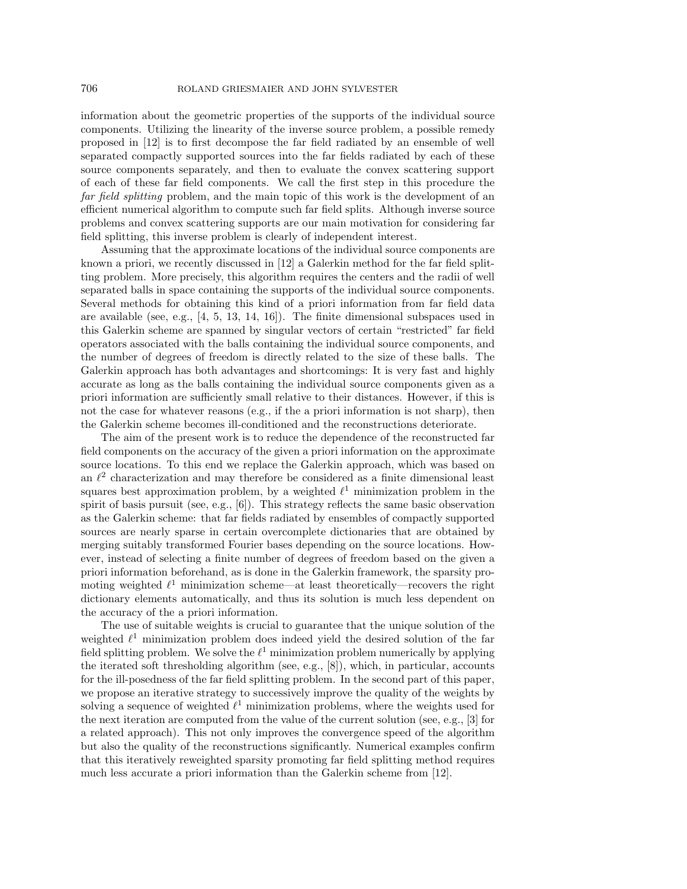information about the geometric properties of the supports of the individual source components. Utilizing the linearity of the inverse source problem, a possible remedy proposed in [\[12\]](#page-24-3) is to first decompose the far field radiated by an ensemble of well separated compactly supported sources into the far fields radiated by each of these source components separately, and then to evaluate the convex scattering support of each of these far field components. We call the first step in this procedure the *far field splitting* problem, and the main topic of this work is the development of an efficient numerical algorithm to compute such far field splits. Although inverse source problems and convex scattering supports are our main motivation for considering far field splitting, this inverse problem is clearly of independent interest.

Assuming that the approximate locations of the individual source components are known a priori, we recently discussed in [\[12\]](#page-24-3) a Galerkin method for the far field splitting problem. More precisely, this algorithm requires the centers and the radii of well separated balls in space containing the supports of the individual source components. Several methods for obtaining this kind of a priori information from far field data are available (see, e.g.,  $[4, 5, 13, 14, 16]$  $[4, 5, 13, 14, 16]$  $[4, 5, 13, 14, 16]$  $[4, 5, 13, 14, 16]$  $[4, 5, 13, 14, 16]$ ). The finite dimensional subspaces used in this Galerkin scheme are spanned by singular vectors of certain "restricted" far field operators associated with the balls containing the individual source components, and the number of degrees of freedom is directly related to the size of these balls. The Galerkin approach has both advantages and shortcomings: It is very fast and highly accurate as long as the balls containing the individual source components given as a priori information are sufficiently small relative to their distances. However, if this is not the case for whatever reasons (e.g., if the a priori information is not sharp), then the Galerkin scheme becomes ill-conditioned and the reconstructions deteriorate.

The aim of the present work is to reduce the dependence of the reconstructed far field components on the accuracy of the given a priori information on the approximate source locations. To this end we replace the Galerkin approach, which was based on an  $\ell^2$  characterization and may therefore be considered as a finite dimensional least squares best approximation problem, by a weighted  $\ell^1$  minimization problem in the spirit of basis pursuit (see, e.g.,  $[6]$ ). This strategy reflects the same basic observation as the Galerkin scheme: that far fields radiated by ensembles of compactly supported sources are nearly sparse in certain overcomplete dictionaries that are obtained by merging suitably transformed Fourier bases depending on the source locations. However, instead of selecting a finite number of degrees of freedom based on the given a priori information beforehand, as is done in the Galerkin framework, the sparsity promoting weighted  $\ell^1$  minimization scheme—at least theoretically—recovers the right dictionary elements automatically, and thus its solution is much less dependent on the accuracy of the a priori information.

The use of suitable weights is crucial to guarantee that the unique solution of the weighted  $\ell^1$  minimization problem does indeed yield the desired solution of the far field splitting problem. We solve the  $\ell^1$  minimization problem numerically by applying the iterated soft thresholding algorithm (see, e.g., [\[8\]](#page-24-10)), which, in particular, accounts for the ill-posedness of the far field splitting problem. In the second part of this paper, we propose an iterative strategy to successively improve the quality of the weights by solving a sequence of weighted  $\ell^1$  minimization problems, where the weights used for the next iteration are computed from the value of the current solution (see, e.g., [\[3\]](#page-24-11) for a related approach). This not only improves the convergence speed of the algorithm but also the quality of the reconstructions significantly. Numerical examples confirm that this iteratively reweighted sparsity promoting far field splitting method requires much less accurate a priori information than the Galerkin scheme from [\[12\]](#page-24-3).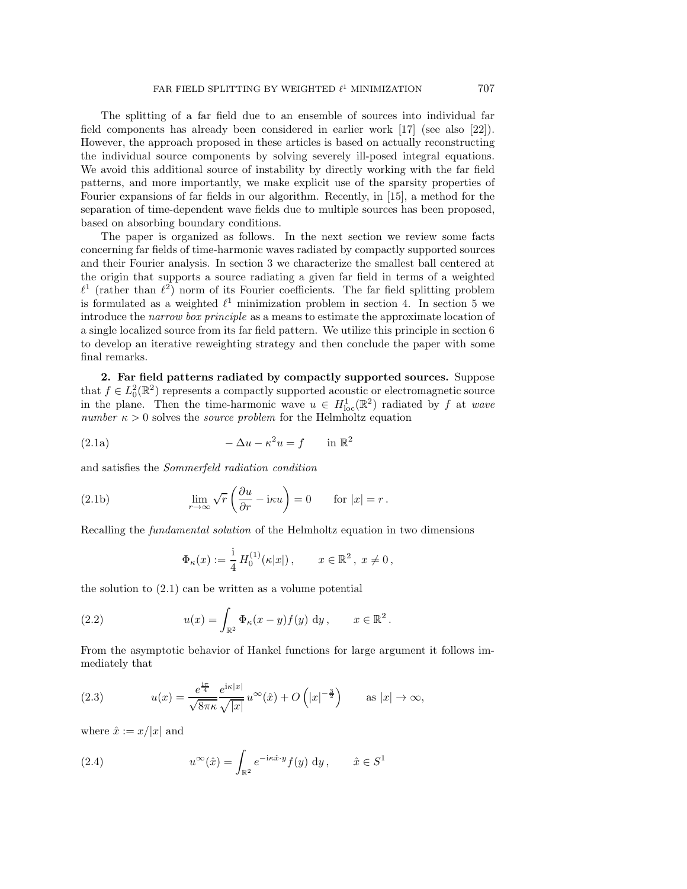The splitting of a far field due to an ensemble of sources into individual far field components has already been considered in earlier work [\[17\]](#page-24-12) (see also [\[22\]](#page-25-3)). However, the approach proposed in these articles is based on actually reconstructing the individual source components by solving severely ill-posed integral equations. We avoid this additional source of instability by directly working with the far field patterns, and more importantly, we make explicit use of the sparsity properties of Fourier expansions of far fields in our algorithm. Recently, in [\[15\]](#page-24-13), a method for the separation of time-dependent wave fields due to multiple sources has been proposed, based on absorbing boundary conditions.

The paper is organized as follows. In the next section we review some facts concerning far fields of time-harmonic waves radiated by compactly supported sources and their Fourier analysis. In section [3](#page-6-0) we characterize the smallest ball centered at the origin that supports a source radiating a given far field in terms of a weighted  $\ell^1$  (rather than  $\ell^2$ ) norm of its Fourier coefficients. The far field splitting problem is formulated as a weighted  $\ell^1$  minimization problem in section [4.](#page-9-0) In section [5](#page-15-0) we introduce the *narrow box principle* as a means to estimate the approximate location of a single localized source from its far field pattern. We utilize this principle in section [6](#page-20-0) to develop an iterative reweighting strategy and then conclude the paper with some final remarks.

<span id="page-2-4"></span>**2. Far field patterns radiated by compactly supported sources.** Suppose that  $f \in L_0^2(\mathbb{R}^2)$  represents a compactly supported acoustic or electromagnetic source<br>in the plane. Then the time harmonic wave  $u \in H^1(\mathbb{R}^2)$  radiated by f at wave in the plane. Then the time-harmonic wave  $u \in H_{loc}^{1}(\mathbb{R}^{2})$  radiated by f at *wave*<br>*number*  $\kappa > 0$  solves the *source* problem for the Helmboltz equation *number*  $\kappa > 0$  solves the *source problem* for the Helmholtz equation

(2.1a) 
$$
-\Delta u - \kappa^2 u = f \quad \text{in } \mathbb{R}^2
$$

and satisfies the *Sommerfeld radiation condition*

(2.1b) 
$$
\lim_{r \to \infty} \sqrt{r} \left( \frac{\partial u}{\partial r} - i\kappa u \right) = 0 \quad \text{for } |x| = r.
$$

Recalling the *fundamental solution* of the Helmholtz equation in two dimensions

<span id="page-2-2"></span><span id="page-2-0"></span>
$$
\Phi_\kappa(x):=\frac{\,\mathrm{i}}{4}\,H^{(1)}_0(\kappa|x|)\,,\qquad x\in\mathbb{R}^2\,,\;x\neq0\,,
$$

the solution to [\(2.1\)](#page-2-0) can be written as a volume potential

(2.2) 
$$
u(x) = \int_{\mathbb{R}^2} \Phi_{\kappa}(x - y) f(y) dy, \qquad x \in \mathbb{R}^2.
$$

From the asymptotic behavior of Hankel functions for large argument it follows immediately that

<span id="page-2-3"></span>(2.3) 
$$
u(x) = \frac{e^{\frac{i\pi}{4}}}{\sqrt{8\pi\kappa}} \frac{e^{i\kappa|x|}}{\sqrt{|x|}} u^{\infty}(\hat{x}) + O\left(|x|^{-\frac{3}{2}}\right) \quad \text{as } |x| \to \infty,
$$

where  $\hat{x} := x/|x|$  and

<span id="page-2-1"></span>(2.4) 
$$
u^{\infty}(\hat{x}) = \int_{\mathbb{R}^2} e^{-i\kappa \hat{x} \cdot y} f(y) \, dy, \qquad \hat{x} \in S^1
$$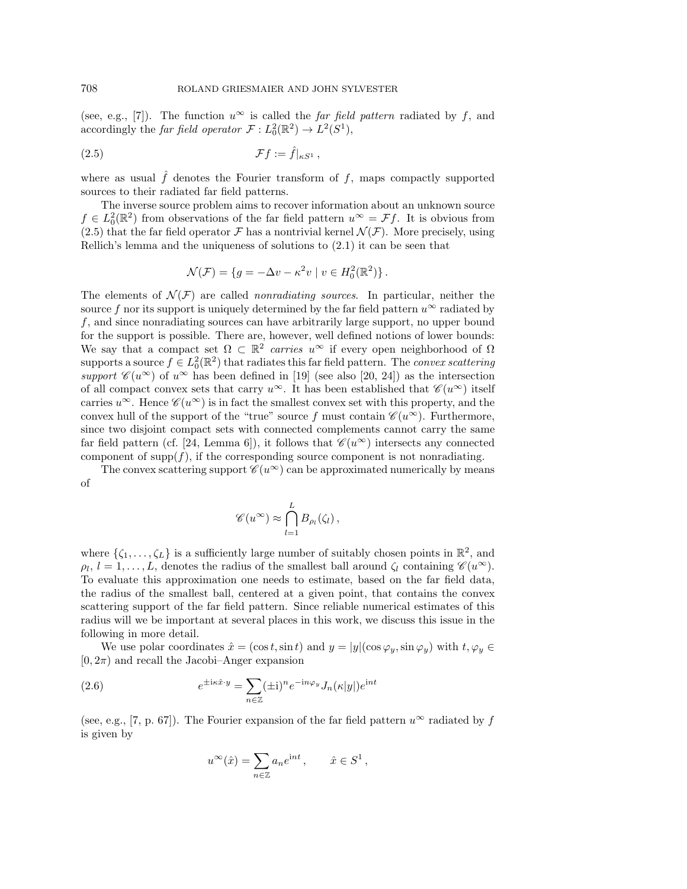(see, e.g., [\[7\]](#page-24-14)). The function  $u^{\infty}$  is called the *far field pattern* radiated by f, and accordingly the *far field operator*  $\mathcal{F}: L_0^2(\mathbb{R}^2) \to L^2(S^1)$ ,

$$
\mathcal{F}f := \hat{f}|_{\kappa S^1} \,,
$$

where as usual  $\hat{f}$  denotes the Fourier transform of f, maps compactly supported sources to their radiated far field patterns.

The inverse source problem aims to recover information about an unknown source  $f \in L_0^2(\mathbb{R}^2)$  from observations of the far field pattern  $u^{\infty} = \mathcal{F}f$ . It is obvious from  $(2, 5)$  that the far field operator  $\mathcal{F}$  has a nontrivial kernal  $\mathcal{N}(\mathcal{F})$ . More precisely using [\(2.5\)](#page-3-0) that the far field operator  $\mathcal F$  has a nontrivial kernel  $\mathcal N(\mathcal F)$ . More precisely, using Rellich's lemma and the uniqueness of solutions to [\(2.1\)](#page-2-0) it can be seen that

<span id="page-3-0"></span>
$$
\mathcal{N}(\mathcal{F}) = \{ g = -\Delta v - \kappa^2 v \mid v \in H_0^2(\mathbb{R}^2) \}.
$$

The elements of  $\mathcal{N}(\mathcal{F})$  are called *nonradiating sources*. In particular, neither the source f nor its support is uniquely determined by the far field pattern  $u^{\infty}$  radiated by f, and since nonradiating sources can have arbitrarily large support, no upper bound for the support is possible. There are, however, well defined notions of lower bounds: We say that a compact set  $\Omega \subset \mathbb{R}^2$  *carries*  $u^{\infty}$  if every open neighborhood of  $\Omega$ supports a source  $f \in L_0^2(\mathbb{R}^2)$  that radiates this far field pattern. The *convex scattering*<br>support  $\mathscr{C}(\omega^{\infty})$  of  $\omega^{\infty}$  has been defined in [10] (see also [20, 24]) as the intersection *support*  $\mathscr{C}(u^{\infty})$  of  $u^{\infty}$  has been defined in [\[19\]](#page-24-1) (see also [\[20,](#page-24-2) [24\]](#page-25-2)) as the intersection of all compact convex sets that carry  $u^{\infty}$ . It has been established that  $\mathscr{C}(u^{\infty})$  itself carries  $u^{\infty}$ . Hence  $\mathscr{C}(u^{\infty})$  is in fact the smallest convex set with this property, and the convex hull of the support of the "true" source f must contain  $\mathscr{C}(u^{\infty})$ . Furthermore, since two disjoint compact sets with connected complements cannot carry the same far field pattern (cf. [\[24,](#page-25-2) Lemma 6]), it follows that  $\mathscr{C}(u^{\infty})$  intersects any connected component of supp $(f)$ , if the corresponding source component is not nonradiating.

The convex scattering support  $\mathscr{C}(u^{\infty})$  can be approximated numerically by means of

$$
\mathscr{C}(u^{\infty}) \approx \bigcap_{l=1}^{L} B_{\rho_l}(\zeta_l),
$$

where  $\{\zeta_1,\ldots,\zeta_L\}$  is a sufficiently large number of suitably chosen points in  $\mathbb{R}^2$ , and  $\rho_l$ ,  $l = 1, \ldots, L$ , denotes the radius of the smallest ball around  $\zeta_l$  containing  $\mathscr{C}(u^{\infty})$ . To evaluate this approximation one needs to estimate, based on the far field data, the radius of the smallest ball, centered at a given point, that contains the convex scattering support of the far field pattern. Since reliable numerical estimates of this radius will we be important at several places in this work, we discuss this issue in the following in more detail.

We use polar coordinates  $\hat{x} = (\cos t, \sin t)$  and  $y = |y|(\cos \varphi_y, \sin \varphi_y)$  with  $t, \varphi_y \in \mathbb{R}$  $[0, 2\pi)$  and recall the Jacobi–Anger expansion

(2.6) 
$$
e^{\pm i\kappa \hat{x}\cdot y} = \sum_{n\in\mathbb{Z}} (\pm i)^n e^{-in\varphi_y} J_n(\kappa|y|) e^{\mathrm{i}nt}
$$

(see, e.g., [\[7,](#page-24-14) p. 67]). The Fourier expansion of the far field pattern  $u^{\infty}$  radiated by f is given by

<span id="page-3-1"></span>
$$
u^{\infty}(\hat{x}) = \sum_{n \in \mathbb{Z}} a_n e^{\mathrm{i}nt}, \qquad \hat{x} \in S^1,
$$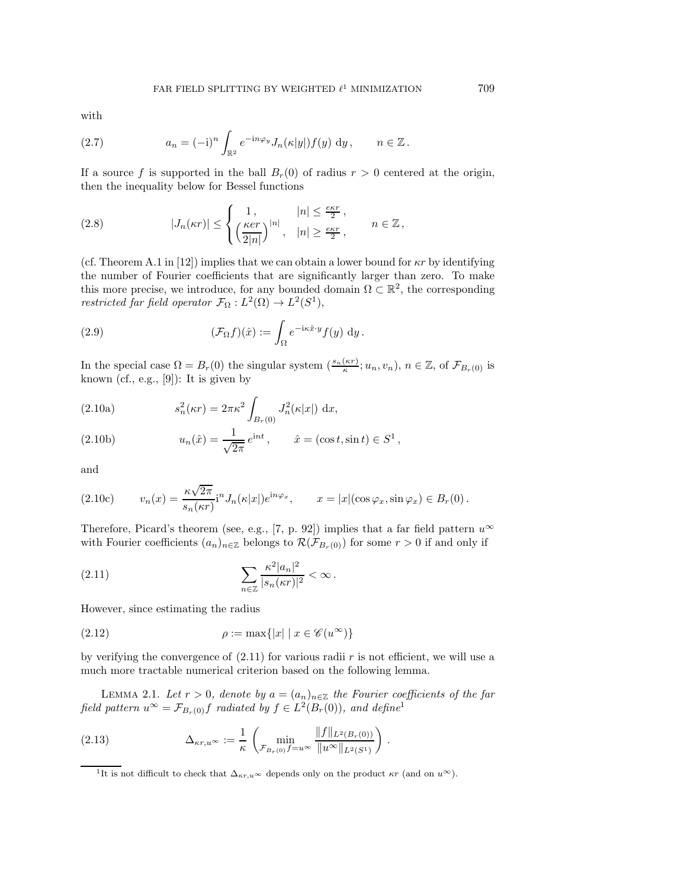with

<span id="page-4-6"></span>(2.7) 
$$
a_n = (-i)^n \int_{\mathbb{R}^2} e^{-in\varphi_y} J_n(\kappa|y|) f(y) dy, \qquad n \in \mathbb{Z}.
$$

If a source f is supported in the ball  $B_r(0)$  of radius  $r > 0$  centered at the origin, then the inequality below for Bessel functions

<span id="page-4-2"></span>(2.8) 
$$
|J_n(\kappa r)| \leq \begin{cases} 1, & |n| \leq \frac{e\kappa r}{2}, \\ \left(\frac{\kappa e r}{2|n|}\right)^{|n|}, & |n| \geq \frac{e\kappa r}{2}, & n \in \mathbb{Z}, \end{cases}
$$

(cf. Theorem A.1 in [\[12\]](#page-24-3)) implies that we can obtain a lower bound for  $\kappa r$  by identifying the number of Fourier coefficients that are significantly larger than zero. To make this more precise, we introduce, for any bounded domain  $\Omega \subset \mathbb{R}^2$ , the corresponding *restricted far field operator*  $\mathcal{F}_{\Omega}: L^2(\Omega) \to L^2(S^1),$ 

<span id="page-4-5"></span>(2.9) 
$$
(\mathcal{F}_{\Omega}f)(\hat{x}) := \int_{\Omega} e^{-i\kappa \hat{x} \cdot y} f(y) \, dy.
$$

In the special case  $\Omega = B_r(0)$  the singular system  $\left(\frac{s_n(\kappa r)}{\kappa}; u_n, v_n\right), n \in \mathbb{Z}$ , of  $\mathcal{F}_{B_r(0)}$  is  $\limsup_{n \to \infty} \left( \frac{f_n(s_n)}{s_n} \right)$ . known (cf., e.g., [\[9\]](#page-24-0)): It is given by

<span id="page-4-7"></span>(2.10a) 
$$
s_n^2(\kappa r) = 2\pi \kappa^2 \int_{B_r(0)} J_n^2(\kappa |x|) dx,
$$

(2.10b) 
$$
u_n(\hat{x}) = \frac{1}{\sqrt{2\pi}} e^{int}, \qquad \hat{x} = (\cos t, \sin t) \in S^1,
$$

and

(2.10c) 
$$
v_n(x) = \frac{\kappa \sqrt{2\pi}}{s_n(\kappa r)} i^n J_n(\kappa |x|) e^{i n \varphi_x}, \qquad x = |x|(\cos \varphi_x, \sin \varphi_x) \in B_r(0).
$$

Therefore, Picard's theorem (see, e.g., [\[7,](#page-24-14) p. 92]) implies that a far field pattern  $u^{\infty}$ with Fourier coefficients  $(a_n)_{n\in\mathbb{Z}}$  belongs to  $\mathcal{R}(\mathcal{F}_{B_r(0)})$  for some  $r>0$  if and only if

<span id="page-4-0"></span>
$$
(2.11) \qquad \qquad \sum_{n\in\mathbb{Z}}\frac{\kappa^2|a_n|^2}{|s_n(\kappa r)|^2}<\infty\,.
$$

However, since estimating the radius

<span id="page-4-4"></span>(2.12) 
$$
\rho := \max\{|x| \mid x \in \mathscr{C}(u^{\infty})\}
$$

<span id="page-4-3"></span>by verifying the convergence of  $(2.11)$  for various radii r is not efficient, we will use a much more tractable numerical criterion based on the following lemma.

LEMMA 2.1. Let  $r > 0$ , denote by  $a = (a_n)_{n \in \mathbb{Z}}$  the Fourier coefficients of the far *fi[e](#page-4-1)ld pattern*  $u^{\infty} = \mathcal{F}_{B_r(0)} f$  *radiated by*  $f \in L^2(B_r(0))$ *, and define*<sup>1</sup>

.

(2.13) 
$$
\Delta_{\kappa r, u^{\infty}} := \frac{1}{\kappa} \left( \min_{\mathcal{F}_{B_r(0)} f = u^{\infty}} \frac{\|f\|_{L^2(B_r(0))}}{\|u^{\infty}\|_{L^2(S^1)}} \right)
$$

<span id="page-4-8"></span><span id="page-4-1"></span><sup>&</sup>lt;sup>1</sup>It is not difficult to check that  $\Delta_{\kappa r, u^{\infty}}$  depends only on the product  $\kappa r$  (and on  $u^{\infty}$ ).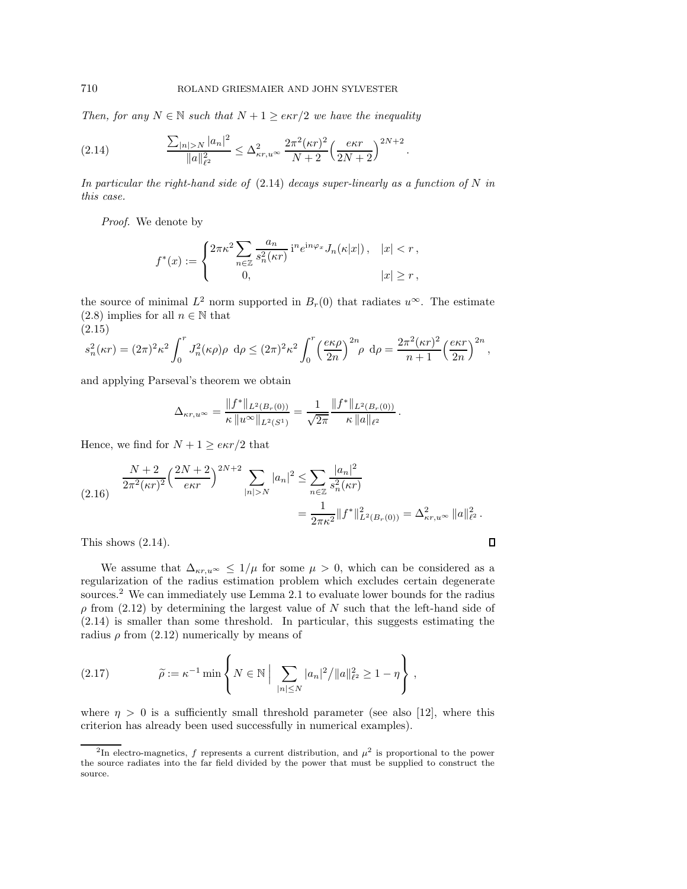*Then, for any*  $N \in \mathbb{N}$  *such that*  $N + 1 \geq \frac{\varepsilon}{2}$  *we have the inequality* 

<span id="page-5-0"></span>(2.14) 
$$
\frac{\sum_{|n|>N} |a_n|^2}{\|a\|_{\ell^2}^2} \leq \Delta_{\kappa r, u^\infty}^2 \frac{2\pi^2 (\kappa r)^2}{N+2} \left(\frac{e\kappa r}{2N+2}\right)^{2N+2}.
$$

*In particular the right-hand side of* [\(2.14\)](#page-5-0) *decays super-linearly as a function of* N *in this case.*

*Proof.* We denote by

$$
f^*(x) := \begin{cases} 2\pi\kappa^2 \sum_{n \in \mathbb{Z}} \frac{a_n}{s_n^2(\kappa r)} i^n e^{i n \varphi_x} J_n(\kappa |x|) \,, & |x| < r \,, \\ 0, & |x| \ge r \,, \end{cases}
$$

the source of minimal  $L^2$  norm supported in  $B_r(0)$  that radiates  $u^{\infty}$ . The estimate [\(2.8\)](#page-4-2) implies for all  $n \in \mathbb{N}$  that (2.15)

<span id="page-5-4"></span>
$$
s_n^2(\kappa r) = (2\pi)^2 \kappa^2 \int_0^r J_n^2(\kappa \rho) \rho \, \, \mathrm{d}\rho \le (2\pi)^2 \kappa^2 \int_0^r \left(\frac{e\kappa \rho}{2n}\right)^{2n} \rho \, \, \mathrm{d}\rho = \frac{2\pi^2 (\kappa r)^2}{n+1} \left(\frac{e\kappa r}{2n}\right)^{2n},
$$

and applying Parseval's theorem we obtain

$$
\Delta_{\kappa r, u^{\infty}} = \frac{\|f^*\|_{L^2(B_r(0))}}{\kappa \|u^{\infty}\|_{L^2(S^1)}} = \frac{1}{\sqrt{2\pi}} \frac{\|f^*\|_{L^2(B_r(0))}}{\kappa \|a\|_{\ell^2}}.
$$

Hence, we find for  $N + 1 \geq e\kappa r/2$  that

<span id="page-5-3"></span>
$$
(2.16) \quad \frac{N+2}{2\pi^2(\kappa r)^2} \left(\frac{2N+2}{e\kappa r}\right)^{2N+2} \sum_{|n|>N} |a_n|^2 \le \sum_{n\in\mathbb{Z}} \frac{|a_n|^2}{s_n^2(\kappa r)}
$$

$$
= \frac{1}{2\pi\kappa^2} \|f^*\|_{L^2(B_r(0))}^2 = \Delta^2_{\kappa r, u^\infty} \|a\|_{\ell^2}^2.
$$

 $\Box$ 

This shows [\(2.14\)](#page-5-0).

We assume that  $\Delta_{\kappa r, u^{\infty}} \leq 1/\mu$  for some  $\mu > 0$ , which can be considered as a regularization of the radius estimation problem which excludes certain degenerate sources[.](#page-5-1)<sup>2</sup> We can immediately use Lemma [2.1](#page-4-3) to evaluate lower bounds for the radius  $\rho$  from [\(2.12\)](#page-4-4) by determining the largest value of N such that the left-hand side of [\(2.14\)](#page-5-0) is smaller than some threshold. In particular, this suggests estimating the radius  $\rho$  from [\(2.12\)](#page-4-4) numerically by means of

<span id="page-5-2"></span>(2.17) 
$$
\widetilde{\rho} := \kappa^{-1} \min \left\{ N \in \mathbb{N} \; \Big| \; \sum_{|n| \le N} |a_n|^2 / \|a\|_{\ell^2}^2 \ge 1 - \eta \right\} ,
$$

where  $\eta > 0$  is a sufficiently small threshold parameter (see also [\[12\]](#page-24-3), where this criterion has already been used successfully in numerical examples).

<span id="page-5-1"></span><sup>&</sup>lt;sup>2</sup>In electro-magnetics, f represents a current distribution, and  $\mu^2$  is proportional to the power the source radiates into the far field divided by the power that must be supplied to construct the source.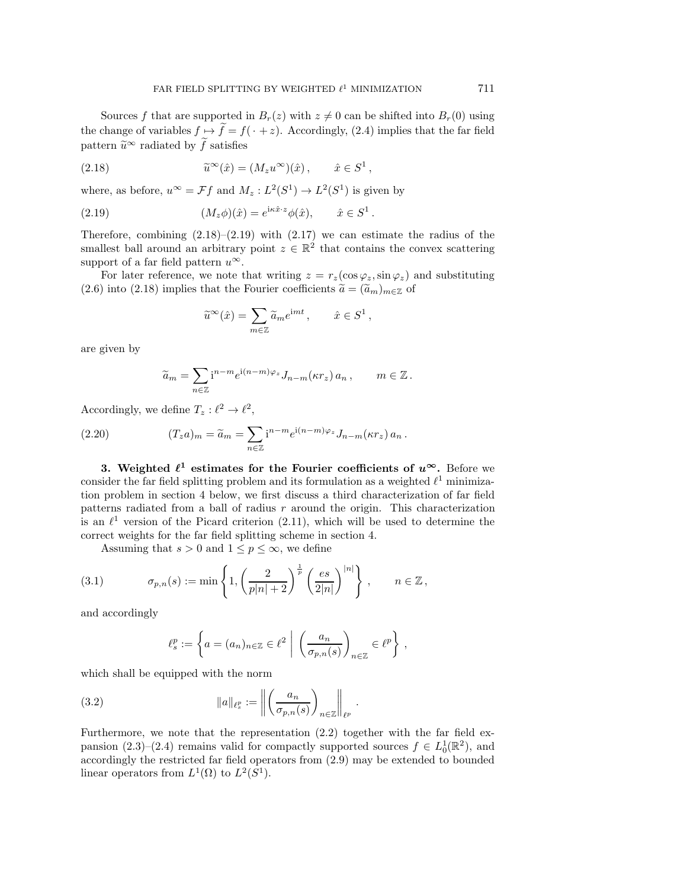Sources f that are supported in  $B_r(z)$  with  $z \neq 0$  can be shifted into  $B_r(0)$  using the change of variables  $f \mapsto f = f(\cdot + z)$ . Accordingly, [\(2.4\)](#page-2-1) implies that the far field pattern  $\tilde{u}^{\infty}$  radiated by f satisfies

<span id="page-6-1"></span>(2.18) 
$$
\widetilde{u}^{\infty}(\hat{x}) = (M_z u^{\infty})(\hat{x}), \qquad \hat{x} \in S^1,
$$

where, as before,  $u^{\infty} = \mathcal{F}f$  and  $M_z : L^2(S^1) \to L^2(S^1)$  is given by

(2.19) 
$$
(M_z \phi)(\hat{x}) = e^{i\kappa \hat{x} \cdot z} \phi(\hat{x}), \qquad \hat{x} \in S^1.
$$

Therefore, combining  $(2.18)$ – $(2.19)$  with  $(2.17)$  we can estimate the radius of the smallest ball around an arbitrary point  $z \in \mathbb{R}^2$  that contains the convex scattering support of a far field pattern  $u^{\infty}$ .

For later reference, we note that writing  $z = r_z(\cos\varphi_z, \sin\varphi_z)$  and substituting [\(2.6\)](#page-3-1) into [\(2.18\)](#page-6-1) implies that the Fourier coefficients  $\tilde{a} = (\tilde{a}_m)_{m \in \mathbb{Z}}$  of

<span id="page-6-2"></span>
$$
\widetilde{u}^{\infty}(\hat{x}) = \sum_{m \in \mathbb{Z}} \widetilde{a}_m e^{\mathrm{i} m t}, \qquad \hat{x} \in S^1,
$$

are given by

<span id="page-6-5"></span>
$$
\widetilde{a}_m = \sum_{n \in \mathbb{Z}} i^{n-m} e^{i(n-m)\varphi_z} J_{n-m}(\kappa r_z) a_n , \qquad m \in \mathbb{Z}.
$$

Accordingly, we define  $T_z: \ell^2 \to \ell^2$ ,

(2.20) 
$$
(T_z a)_m = \widetilde{a}_m = \sum_{n \in \mathbb{Z}} i^{n-m} e^{i(n-m)\varphi_z} J_{n-m}(\kappa r_z) a_n.
$$

<span id="page-6-0"></span>**3.** Weighted  $\ell^1$  estimates for the Fourier coefficients of  $u^\infty$ . Before we consider the far field splitting problem and its formulation as a weighted  $\ell^1$  minimization problem in section [4](#page-9-0) below, we first discuss a third characterization of far field patterns radiated from a ball of radius  $r$  around the origin. This characterization is an  $\ell^1$  version of the Picard criterion [\(2.11\)](#page-4-0), which will be used to determine the correct weights for the far field splitting scheme in section [4.](#page-9-0)

<span id="page-6-4"></span>Assuming that  $s > 0$  and  $1 \leq p \leq \infty$ , we define

(3.1) 
$$
\sigma_{p,n}(s) := \min\left\{1, \left(\frac{2}{p|n|+2}\right)^{\frac{1}{p}} \left(\frac{es}{2|n|}\right)^{|n|}\right\}, \quad n \in \mathbb{Z},
$$

and accordingly

<span id="page-6-6"></span>
$$
\ell_s^p := \left\{ a = (a_n)_{n \in \mathbb{Z}} \in \ell^2 \middle| \left( \frac{a_n}{\sigma_{p,n}(s)} \right)_{n \in \mathbb{Z}} \in \ell^p \right\},\,
$$

which shall be equipped with the norm

(3.2) 
$$
\|a\|_{\ell_s^p} := \left\| \left( \frac{a_n}{\sigma_{p,n}(s)} \right)_{n \in \mathbb{Z}} \right\|_{\ell^p}.
$$

<span id="page-6-3"></span>Furthermore, we note that the representation [\(2.2\)](#page-2-2) together with the far field expansion  $(2.3)$ – $(2.4)$  remains valid for compactly supported sources  $f \in L_0^1(\mathbb{R}^2)$ , and<br>accordingly the restricted for field eperators from  $(2.9)$  may be extended to bounded accordingly the restricted far field operators from [\(2.9\)](#page-4-5) may be extended to bounded linear operators from  $L^1(\Omega)$  to  $L^2(S^1)$ .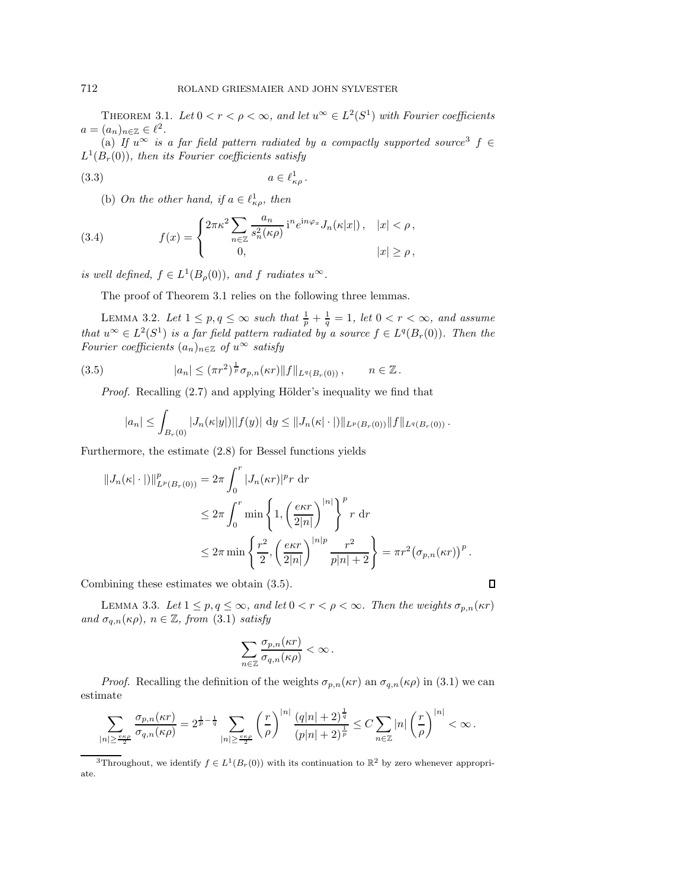THEOREM 3.1. Let  $0 < r < \rho < \infty$ , and let  $u^{\infty} \in L^2(S^1)$  with Fourier coefficients  $a = (a_n)_{n \in \mathbb{Z}} \in \ell^2.$ 

(a) *If*  $u^{\infty}$  *is a far field pattern radiated by a compactly supported source*<sup>[3](#page-7-0)</sup>  $f \in$  $L^1(B_r(0))$ *, then its Fourier coefficients satisfy* 

$$
(3.3) \t\t a \in \ell^1_{\kappa \rho}.
$$

<span id="page-7-5"></span><span id="page-7-4"></span>(b) *On the other hand, if*  $a \in \ell^1_{\kappa \rho}$ *, then* 

(3.4) 
$$
f(x) = \begin{cases} 2\pi\kappa^2 \sum_{n\in\mathbb{Z}} \frac{a_n}{s_n^2(\kappa\rho)} i^n e^{in\varphi_x} J_n(\kappa|x|), & |x| < \rho, \\ 0, & |x| \ge \rho, \end{cases}
$$

*is well defined,*  $f \in L^1(B_o(0))$ *, and* f *radiates*  $u^{\infty}$ *.* 

The proof of Theorem [3.1](#page-6-3) relies on the following three lemmas.

<span id="page-7-2"></span>LEMMA 3.2. Let  $1 \leq p, q \leq \infty$  such that  $\frac{1}{p} + \frac{1}{q} = 1$ , let  $0 < r < \infty$ , and assume *that*  $u^{\infty} \in L^2(S^1)$  *is a far field pattern radiated by a source*  $f \in L^q(B_r(0))$ *. Then the Fourier coefficients*  $(a_n)_{n \in \mathbb{Z}}$  *of*  $u^{\infty}$  *satisfy* 

(3.5) 
$$
|a_n| \le (\pi r^2)^{\frac{1}{p}} \sigma_{p,n}(\kappa r) ||f||_{L^q(B_r(0))}, \qquad n \in \mathbb{Z}.
$$

*Proof.* Recalling [\(2.7\)](#page-4-6) and applying Hölder's inequality we find that

<span id="page-7-1"></span>
$$
|a_n| \leq \int_{B_r(0)} |J_n(\kappa|y|)||f(y)| \, dy \leq ||J_n(\kappa|\cdot|)||_{L^p(B_r(0))} ||f||_{L^q(B_r(0))}.
$$

Furthermore, the estimate [\(2.8\)](#page-4-2) for Bessel functions yields

$$
||J_n(\kappa|\cdot||)||^p_{L^p(B_r(0))} = 2\pi \int_0^r |J_n(\kappa r)|^p r \, dr
$$
  
\n
$$
\leq 2\pi \int_0^r \min\left\{1, \left(\frac{e\kappa r}{2|n|}\right)^{|n|}\right\}^p r \, dr
$$
  
\n
$$
\leq 2\pi \min\left\{\frac{r^2}{2}, \left(\frac{e\kappa r}{2|n|}\right)^{|n|p} \frac{r^2}{p|n|+2}\right\} = \pi r^2 \left(\sigma_{p,n}(\kappa r)\right)^p.
$$

<span id="page-7-3"></span>Combining these estimates we obtain [\(3.5\)](#page-7-1).

LEMMA 3.3. Let  $1 \leq p, q \leq \infty$ , and let  $0 < r < \rho < \infty$ . Then the weights  $\sigma_{p,n}(\kappa r)$ *and*  $\sigma_{q,n}(\kappa \rho)$ *,*  $n \in \mathbb{Z}$ *, from* [\(3.1\)](#page-6-4) *satisfy* 

 $\Box$ 

$$
\sum_{n\in\mathbb{Z}}\frac{\sigma_{p,n}(\kappa r)}{\sigma_{q,n}(\kappa\rho)}<\infty.
$$

*Proof.* Recalling the definition of the weights  $\sigma_{p,n}(\kappa r)$  an  $\sigma_{q,n}(\kappa \rho)$  in [\(3.1\)](#page-6-4) we can estimate

$$
\sum_{|n|\geq \frac{e\kappa\rho}{2}}\frac{\sigma_{p,n}(\kappa r)}{\sigma_{q,n}(\kappa\rho)}=2^{\frac{1}{p}-\frac{1}{q}}\sum_{|n|\geq \frac{e\kappa\rho}{2}}\left(\frac{r}{\rho}\right)^{|n|}\frac{(q|n|+2)^{\frac{1}{q}}}{(p|n|+2)^{\frac{1}{p}}}\leq C\sum_{n\in\mathbb{Z}}|n|\left(\frac{r}{\rho}\right)^{|n|}<\infty\,.
$$

<span id="page-7-0"></span><sup>3</sup>Throughout, we identify  $f \in L^1(B_r(0))$  with its continuation to  $\mathbb{R}^2$  by zero whenever appropriate.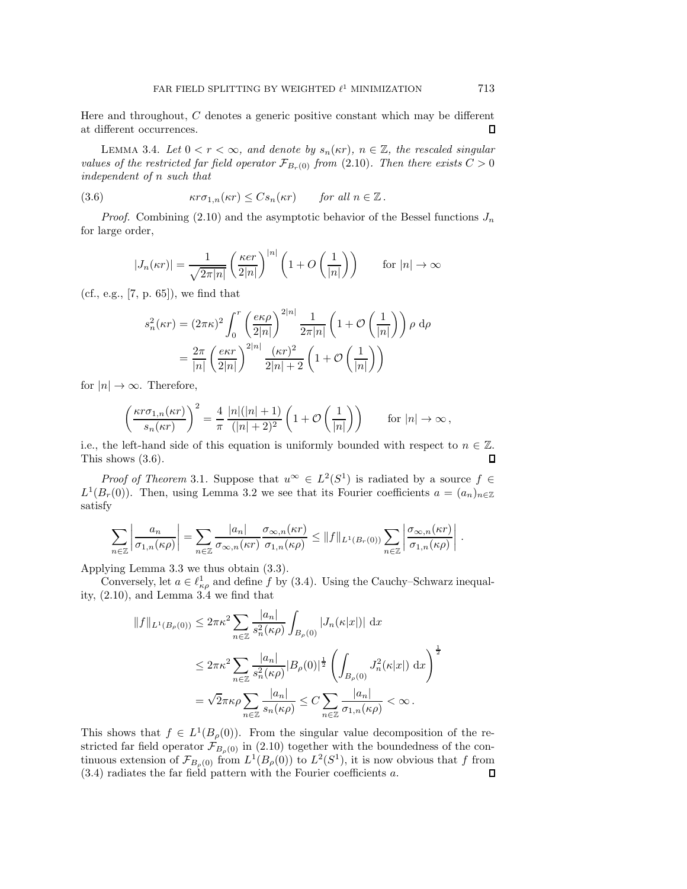Here and throughout, C denotes a generic positive constant which may be different at different occurrences. П

<span id="page-8-1"></span>LEMMA 3.4. Let  $0 < r < \infty$ , and denote by  $s_n(\kappa r)$ ,  $n \in \mathbb{Z}$ , the rescaled singular *values of the restricted far field operator*  $\mathcal{F}_{B_r(0)}$  *from* [\(2.10\)](#page-4-7)*. Then there exists*  $C > 0$ *independent of* n *such that*

(3.6) 
$$
\kappa r \sigma_{1,n}(\kappa r) \leq C s_n(\kappa r) \quad \text{for all } n \in \mathbb{Z}.
$$

*Proof.* Combining [\(2.10\)](#page-4-7) and the asymptotic behavior of the Bessel functions  $J_n$ for large order,

<span id="page-8-0"></span>
$$
|J_n(\kappa r)| = \frac{1}{\sqrt{2\pi |n|}} \left(\frac{\kappa er}{2|n|}\right)^{|n|} \left(1 + O\left(\frac{1}{|n|}\right)\right) \quad \text{for } |n| \to \infty
$$

(cf., e.g., [\[7,](#page-24-14) p. 65]), we find that

$$
s_n^2(\kappa r) = (2\pi\kappa)^2 \int_0^r \left(\frac{e\kappa\rho}{2|n|}\right)^{2|n|} \frac{1}{2\pi|n|} \left(1 + \mathcal{O}\left(\frac{1}{|n|}\right)\right) \rho \,d\rho
$$

$$
= \frac{2\pi}{|n|} \left(\frac{e\kappa r}{2|n|}\right)^{2|n|} \frac{(\kappa r)^2}{2|n|+2} \left(1 + \mathcal{O}\left(\frac{1}{|n|}\right)\right)
$$

for  $|n| \to \infty$ . Therefore,

$$
\left(\frac{\kappa r \sigma_{1,n}(\kappa r)}{s_n(\kappa r)}\right)^2 = \frac{4}{\pi} \frac{|n|(|n|+1)}{(|n|+2)^2} \left(1 + \mathcal{O}\left(\frac{1}{|n|}\right)\right) \quad \text{for } |n| \to \infty,
$$

i.e., the left-hand side of this equation is uniformly bounded with respect to  $n \in \mathbb{Z}$ . This shows [\(3.6\)](#page-8-0).  $\Box$ 

*Proof of Theorem* [3.1](#page-6-3). Suppose that  $u^{\infty} \in L^2(S^1)$  is radiated by a source  $f \in$  $L^1(B_r(0))$ . Then, using Lemma [3.2](#page-7-2) we see that its Fourier coefficients  $a = (a_n)_{n \in \mathbb{Z}}$ satisfy

$$
\sum_{n\in\mathbb{Z}}\left|\frac{a_n}{\sigma_{1,n}(\kappa\rho)}\right|=\sum_{n\in\mathbb{Z}}\frac{|a_n|}{\sigma_{\infty,n}(\kappa r)}\frac{\sigma_{\infty,n}(\kappa r)}{\sigma_{1,n}(\kappa\rho)}\leq\|f\|_{L^1(B_r(0))}\sum_{n\in\mathbb{Z}}\left|\frac{\sigma_{\infty,n}(\kappa r)}{\sigma_{1,n}(\kappa\rho)}\right|.
$$

Applying Lemma [3.3](#page-7-3) we thus obtain [\(3.3\)](#page-7-4).

Conversely, let  $a \in \ell^1_{\kappa \rho}$  and define f by [\(3.4\)](#page-7-5). Using the Cauchy–Schwarz inequality, [\(2.10\)](#page-4-7), and Lemma [3.4](#page-8-1) we find that

$$
||f||_{L^{1}(B_{\rho}(0))} \leq 2\pi\kappa^{2} \sum_{n\in\mathbb{Z}} \frac{|a_{n}|}{s_{n}^{2}(\kappa\rho)} \int_{B_{\rho}(0)} |J_{n}(\kappa|x|)| dx
$$
  

$$
\leq 2\pi\kappa^{2} \sum_{n\in\mathbb{Z}} \frac{|a_{n}|}{s_{n}^{2}(\kappa\rho)} |B_{\rho}(0)|^{\frac{1}{2}} \left( \int_{B_{\rho}(0)} J_{n}^{2}(\kappa|x|) dx \right)^{\frac{1}{2}}
$$
  

$$
= \sqrt{2}\pi\kappa\rho \sum_{n\in\mathbb{Z}} \frac{|a_{n}|}{s_{n}(\kappa\rho)} \leq C \sum_{n\in\mathbb{Z}} \frac{|a_{n}|}{\sigma_{1,n}(\kappa\rho)} < \infty.
$$

This shows that  $f \in L^1(B_\rho(0))$ . From the singular value decomposition of the restricted far field operator  $\mathcal{F}_{B_0(0)}$  in [\(2.10\)](#page-4-7) together with the boundedness of the continuous extension of  $\mathcal{F}_{B_{\rho}(0)}$  from  $L^1(B_{\rho}(0))$  to  $L^2(S^1)$ , it is now obvious that f from (3.4) radiates the far field pattern with the Fourier coefficients a. [\(3.4\)](#page-7-5) radiates the far field pattern with the Fourier coefficients a.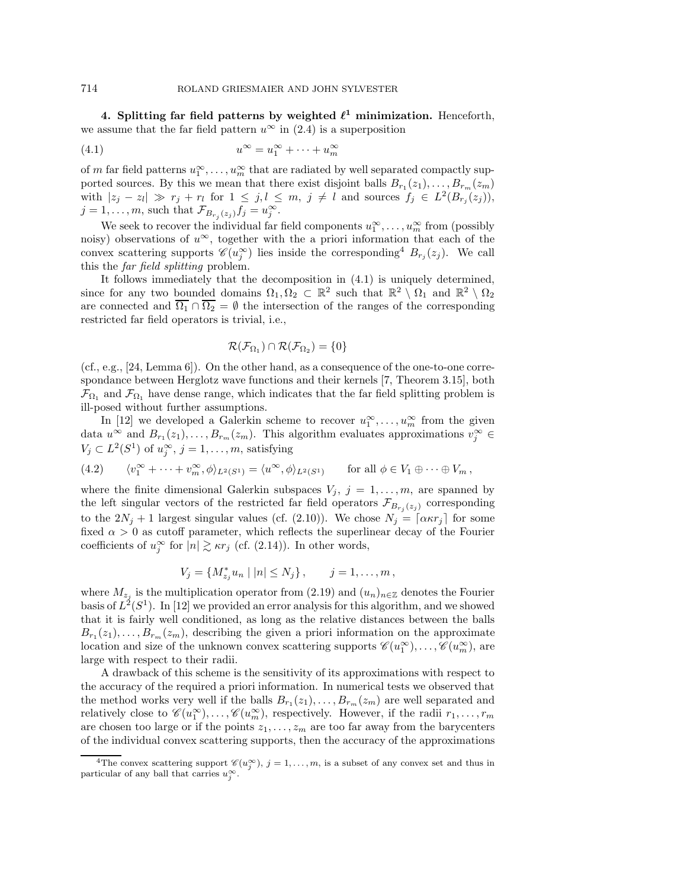<span id="page-9-0"></span>**4. Splitting far field patterns by weighted**  $\ell^1$  **minimization.** Henceforth, we assume that the far field pattern  $u^{\infty}$  in [\(2.4\)](#page-2-1) is a superposition

<span id="page-9-2"></span>
$$
(4.1) \t u^{\infty} = u_1^{\infty} + \dots + u_m^{\infty}
$$

of m far field patterns  $u_1^{\infty}, \ldots, u_m^{\infty}$  that are radiated by well separated compactly sup-<br>ported sources. By this we mean that there exist disjoint halls  $B_-(z) = B_-(z)$ ported sources. By this we mean that there exist disjoint balls  $B_{r_1}(z_1),\ldots,B_{r_m}(z_m)$ with  $|z_j - z_l| \gg r_j + r_l$  for  $1 \leq j, l \leq m, j \neq l$  and sources  $f_j \in L^2(B_{r_j}(z_j))$ ,  $j = 1, \ldots, m$ , such that  $\mathcal{F}_{B_{r_j}(z_j)} f_j = u_j^{\infty}$ .

We seek to recover the individual far field components  $u_1^{\infty}, \ldots, u_m^{\infty}$  from (possibly  $u_1$ ) observations of  $u_1^{\infty}$ , together with the a priori information that each of the noisy) observations of  $u^{\infty}$ , together with the a priori information that each of the convex scattering supports  $\mathscr{C}(u_j^{\infty})$  lies inside the corresponding<sup>[4](#page-9-1)</sup>  $B_{r_j}(z_j)$ . We call this the *far field splitting* problem.

It follows immediately that the decomposition in [\(4.1\)](#page-9-2) is uniquely determined, since for any two bounded domains  $\Omega_1, \Omega_2 \subset \mathbb{R}^2$  such that  $\mathbb{R}^2 \setminus \Omega_1$  and  $\mathbb{R}^2 \setminus \Omega_2$ are connected and  $\overline{\Omega_1} \cap \overline{\Omega_2} = \emptyset$  the intersection of the ranges of the corresponding restricted far field operators is trivial, i.e.,

$$
\mathcal{R}(\mathcal{F}_{\Omega_1}) \cap \mathcal{R}(\mathcal{F}_{\Omega_2}) = \{0\}
$$

 $(cf., e.g., [24, Lemma 6]).$  $(cf., e.g., [24, Lemma 6]).$  $(cf., e.g., [24, Lemma 6]).$  On the other hand, as a consequence of the one-to-one correspondance between Herglotz wave functions and their kernels [\[7,](#page-24-14) Theorem 3.15], both  $\mathcal{F}_{\Omega_1}$  and  $\mathcal{F}_{\Omega_1}$  have dense range, which indicates that the far field splitting problem is ill-posed without further assumptions.

In [\[12\]](#page-24-3) we developed a Galerkin scheme to recover  $u_1^{\infty}, \ldots, u_m^{\infty}$  from the given  $u^{\infty}$  and  $B(x)$ .  $B(x)$  This algorithm ovaluates approximations  $u^{\infty} \in$ data  $u^{\infty}$  and  $B_{r_1}(z_1), \ldots, B_{r_m}(z_m)$ . This algorithm evaluates approximations  $v_j^{\infty} \in$ <br> $U = I^2(\Omega)$ ,  $f \in \mathbb{R}$  $V_j \subset L^2(S^1)$  of  $u_j^{\infty}, j = 1, \ldots, m$ , satisfying

<span id="page-9-3"></span>(4.2) 
$$
\langle v_1^{\infty} + \cdots + v_m^{\infty}, \phi \rangle_{L^2(S^1)} = \langle u^{\infty}, \phi \rangle_{L^2(S^1)} \quad \text{for all } \phi \in V_1 \oplus \cdots \oplus V_m,
$$

where the finite dimensional Galerkin subspaces  $V_j$ ,  $j = 1, \ldots, m$ , are spanned by the left singular vectors of the restricted far field operators  $\mathcal{F}_{B_{r_i}(z_j)}$  corresponding to the  $2N_j + 1$  largest singular values (cf. [\(2.10\)](#page-4-7)). We chose  $N_j = \lceil \alpha \kappa r_j \rceil$  for some fixed  $\alpha > 0$  as cutoff parameter, which reflects the superlinear decay of the Fourier coefficients of  $u_i^{\infty}$  for  $|n| \gtrsim \kappa r_j$  (cf. [\(2.14\)](#page-5-0)). In other words,

$$
V_j = \{ M_{z_j}^* u_n \mid |n| \le N_j \}, \qquad j = 1, \dots, m
$$

where  $M_{z_i}$  is the multiplication operator from [\(2.19\)](#page-6-2) and  $(u_n)_{n\in\mathbb{Z}}$  denotes the Fourier basis of  $L^2(S^1)$ . In [\[12\]](#page-24-3) we provided an error analysis for this algorithm, and we showed that it is fairly well conditioned, as long as the relative distances between the balls  $B_{r_1}(z_1),\ldots,B_{r_m}(z_m)$ , describing the given a priori information on the approximate location and size of the unknown convex scattering supports  $\mathscr{C}(u_1^{\infty}), \ldots, \mathscr{C}(u_m^{\infty})$ , are<br>large with respect to their radii large with respect to their radii.

A drawback of this scheme is the sensitivity of its approximations with respect to the accuracy of the required a priori information. In numerical tests we observed that the method works very well if the balls  $B_{r_1}(z_1),\ldots,B_{r_m}(z_m)$  are well separated and relatively close to  $\mathscr{C}(u_1^{\infty}), \ldots, \mathscr{C}(u_m^{\infty})$ , respectively. However, if the radii  $r_1, \ldots, r_m$ <br>are chosen too large or if the points  $z_i$ ,  $z_i$  are too far away from the harvesproce are chosen too large or if the points  $z_1, \ldots, z_m$  are too far away from the barycenters of the individual convex scattering supports, then the accuracy of the approximations

<span id="page-9-1"></span><sup>&</sup>lt;sup>4</sup>The convex scattering support  $\mathscr{C}(u_j^{\infty})$ ,  $j = 1, \ldots, m$ , is a subset of any convex set and thus in particular of any ball that carries  $u_j^{\infty}$ .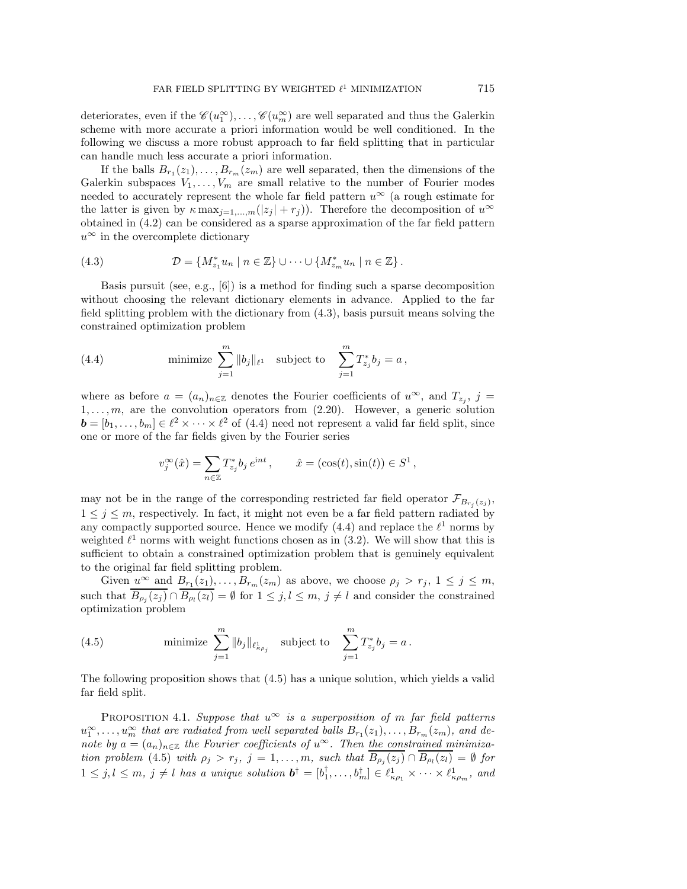deteriorates, even if the  $\mathscr{C}(u_1^{\infty}), \ldots, \mathscr{C}(u_m^{\infty})$  are well separated and thus the Galerkin<br>scheme with more accurate a priori information would be well conditioned. In the scheme with more accurate a priori information would be well conditioned. In the following we discuss a more robust approach to far field splitting that in particular can handle much less accurate a priori information.

If the balls  $B_{r_1}(z_1),\ldots,B_{r_m}(z_m)$  are well separated, then the dimensions of the Galerkin subspaces  $V_1, \ldots, V_m$  are small relative to the number of Fourier modes needed to accurately represent the whole far field pattern  $u^{\infty}$  (a rough estimate for the latter is given by  $\kappa \max_{j=1,\dots,m}(|z_j|+r_j)$ . Therefore the decomposition of  $u^{\infty}$ obtained in [\(4.2\)](#page-9-3) can be considered as a sparse approximation of the far field pattern  $u^{\infty}$  in the overcomplete dictionary

<span id="page-10-0"></span>(4.3) 
$$
\mathcal{D} = \{M_{z_1}^* u_n \mid n \in \mathbb{Z}\} \cup \cdots \cup \{M_{z_m}^* u_n \mid n \in \mathbb{Z}\}.
$$

Basis pursuit (see, e.g., [\[6\]](#page-24-9)) is a method for finding such a sparse decomposition without choosing the relevant dictionary elements in advance. Applied to the far field splitting problem with the dictionary from [\(4.3\)](#page-10-0), basis pursuit means solving the constrained optimization problem

<span id="page-10-1"></span>(4.4) minimize 
$$
\sum_{j=1}^{m} ||b_j||_{\ell^1}
$$
 subject to  $\sum_{j=1}^{m} T_{z_j}^* b_j = a$ ,

where as before  $a = (a_n)_{n \in \mathbb{Z}}$  denotes the Fourier coefficients of  $u^{\infty}$ , and  $T_{z_i}$ ,  $j =$  $1, \ldots, m$ , are the convolution operators from  $(2.20)$ . However, a generic solution  $\mathbf{b} = [b_1, \ldots, b_m] \in \ell^2 \times \cdots \times \ell^2$  of [\(4.4\)](#page-10-1) need not represent a valid far field split, since one or more of the far fields given by the Fourier series

$$
v_j^{\infty}(\hat{x}) = \sum_{n \in \mathbb{Z}} T_{z_j}^* b_j e^{\mathrm{i}nt}, \qquad \hat{x} = (\cos(t), \sin(t)) \in S^1,
$$

may not be in the range of the corresponding restricted far field operator  $\mathcal{F}_{B_{r_i}(z_i)}$ ,  $1 \leq j \leq m$ , respectively. In fact, it might not even be a far field pattern radiated by any compactly supported source. Hence we modify  $(4.4)$  and replace the  $\ell^1$  norms by weighted  $\ell^1$  norms with weight functions chosen as in [\(3.2\)](#page-6-6). We will show that this is sufficient to obtain a constrained optimization problem that is genuinely equivalent to the original far field splitting problem.

Given  $u^{\infty}$  and  $B_{r_1}(z_1),...,B_{r_m}(z_m)$  as above, we choose  $\rho_j > r_j, 1 \leq j \leq m$ , such that  $B_{\rho_j}(z_j) \cap B_{\rho_l}(z_l) = \emptyset$  for  $1 \leq j, l \leq m, j \neq l$  and consider the constrained optimization problem

<span id="page-10-2"></span>(4.5) minimize 
$$
\sum_{j=1}^{m} ||b_j||_{\ell^1_{\kappa_{\rho_j}}}
$$
 subject to  $\sum_{j=1}^{m} T^*_{z_j} b_j = a$ .

The following proposition shows that [\(4.5\)](#page-10-2) has a unique solution, which yields a valid far field split.

PROPOSITION 4.1. *Suppose that*  $u^{\infty}$  *is a superposition of* m *far field patterns*  $u_1^{\infty}, \ldots, u_m^{\infty}$  that are radiated from well separated balls  $B_{r_1}(z_1), \ldots, B_{r_m}(z_m)$ , and de-<br>
note by  $a = (a_1)$ , a the Fourier coefficients of  $u^{\infty}$ . Then the constrained minimize *note by*  $a = (a_n)_{n \in \mathbb{Z}}$  *the Fourier coefficients of*  $u^{\infty}$ *. Then the constrained minimization problem* [\(4.5\)](#page-10-2) *with*  $\rho_j > r_j$ ,  $j = 1, \ldots, m$ , such that  $\overline{B_{\rho_j}(z_j)} \cap \overline{B_{\rho_l}(z_l)} = \emptyset$  for  $1 \leq j, l \leq m, j \neq l$  has a unique solution  $\mathbf{b}^{\dagger} = [b_1^{\dagger}, \ldots, b_m^{\dagger}] \in \ell_{\kappa \rho_1}^1 \times \cdots \times \ell_{\kappa \rho_m}^1$ , and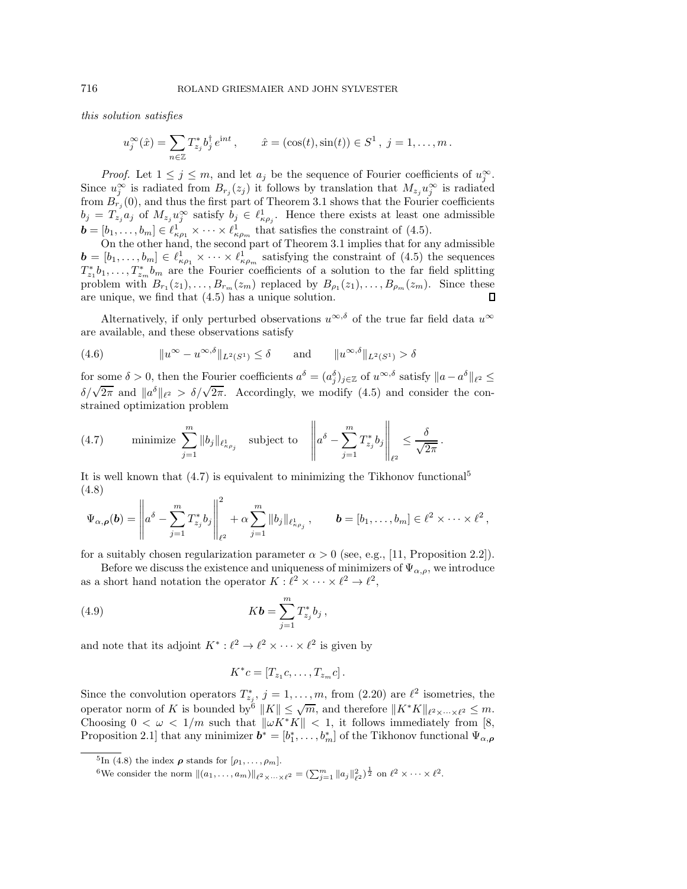*this solution satisfies*

$$
u_j^{\infty}(\hat{x}) = \sum_{n \in \mathbb{Z}} T_{z_j}^* b_j^{\dagger} e^{\mathrm{i} nt}, \qquad \hat{x} = (\cos(t), \sin(t)) \in S^1, \ j = 1, \dots, m.
$$

*Proof.* Let  $1 \leq j \leq m$ , and let  $a_j$  be the sequence of Fourier coefficients of  $u_j^{\infty}$ . Since  $u_j^{\infty}$  is radiated from  $B_{r_j}(z_j)$  it follows by translation that  $M_{z_j}u_j^{\infty}$  is radiated from  $B_{r_j}(0)$ , and thus the first part of Theorem [3.1](#page-6-3) shows that the Fourier coefficients  $b_j = T_{z_j} a_j$  of  $M_{z_j} u_j^{\infty}$  satisfy  $b_j \in \ell^1_{\kappa \rho_j}$ . Hence there exists at least one admissible  $\boldsymbol{b} = [b_1, \ldots, b_m] \in \ell^1_{\kappa \rho_1} \times \cdots \times \ell^1_{\kappa \rho_m}$  that satisfies the constraint of [\(4.5\)](#page-10-2).

On the other hand, the second part of Theorem [3.1](#page-6-3) implies that for any admissible  $\mathbf{b} = [b_1, \ldots, b_m] \in \ell^1_{\kappa \rho_1} \times \cdots \times \ell^1_{\kappa \rho_m}$  satisfying the constraint of [\(4.5\)](#page-10-2) the sequences  $T_{z_1}^* b_1, \ldots, T_{z_m}^* b_m$  are the Fourier coefficients of a solution to the far field splitting<br>raphless with  $B_z(x)$ ,  $B_z(x)$  spaleed by  $B_z(x)$ ,  $B_z(x)$ , Since these problem with  $B_{r_1}(z_1),...,B_{r_m}(z_m)$  replaced by  $B_{\rho_1}(z_1),...,B_{\rho_m}(z_m)$ . Since these are unique, we find that (4.5) has a unique solution. are unique, we find that [\(4.5\)](#page-10-2) has a unique solution.

Alternatively, if only perturbed observations  $u^{\infty,\delta}$  of the true far field data  $u^{\infty}$ are available, and these observations satisfy

<span id="page-11-5"></span>(4.6) 
$$
||u^{\infty} - u^{\infty,\delta}||_{L^2(S^1)} \leq \delta \quad \text{and} \quad ||u^{\infty,\delta}||_{L^2(S^1)} > \delta
$$

for some  $\delta > 0$ , then the Fourier coefficients  $a^{\delta} = (a_j^{\delta})_{j \in \mathbb{Z}}$  of  $u^{\infty,\delta}$  satisfy  $||a - a^{\delta}||_{\ell^2} \le$  $\delta/\sqrt{2\pi}$  and  $||a^{\delta}||_{\ell^2} > \delta/\sqrt{2\pi}$ . Accordingly, we modify [\(4.5\)](#page-10-2) and consider the constrained optimization problem

<span id="page-11-0"></span>(4.7) minimize 
$$
\sum_{j=1}^{m} ||b_j||_{\ell^1_{\kappa_{\rho_j}}}
$$
 subject to  $||a^{\delta} - \sum_{j=1}^{m} T_{z_j}^* b_j||_{\ell^2} \le \frac{\delta}{\sqrt{2\pi}}$ .

It is we[l](#page-11-1)l known that  $(4.7)$  is equivalent to minimizing the Tikhonov functional<sup>5</sup> (4.8)

<span id="page-11-3"></span>
$$
\Psi_{\alpha,\boldsymbol{\rho}}(\boldsymbol{b}) = \left\| a^{\delta} - \sum_{j=1}^m T_{z_j}^* b_j \right\|_{\ell^2}^2 + \alpha \sum_{j=1}^m \|b_j\|_{\ell^1_{\kappa \rho_j}}, \qquad \boldsymbol{b} = [b_1,\ldots,b_m] \in \ell^2 \times \cdots \times \ell^2,
$$

for a suitably chosen regularization parameter  $\alpha > 0$  (see, e.g., [\[11,](#page-24-15) Proposition 2.2]).

Before we discuss the existence and uniqueness of minimizers of  $\Psi_{\alpha,\rho}$ , we introduce as a short hand notation the operator  $K: \ell^2 \times \cdots \times \ell^2 \to \ell^2$ ,

(4.9) 
$$
Kb = \sum_{j=1}^{m} T_{z_j}^* b_j,
$$

and note that its adjoint  $K^* : \ell^2 \to \ell^2 \times \cdots \times \ell^2$  is given by

<span id="page-11-4"></span>
$$
K^*c=[T_{z_1}c,\ldots,T_{z_m}c].
$$

Since the convolution operators  $T_{z_j}^*$ ,  $j = 1, \ldots, m$ , from [\(2.20\)](#page-6-5) are  $\ell^2$  isometries, the operator norm of K is bounded b[y](#page-11-2)<sup>6</sup>  $||K|| \leq \sqrt{m}$ , and therefore  $||K^*K||_{\ell^2 \times \cdots \times \ell^2} \leq m$ . Choosing  $0 < \omega < 1/m$  such that  $\|\omega K^* K\| < 1$ , it follows immediately from [\[8,](#page-24-10) Proposition 2.1] that any minimizer  $b^* = [b_1^*, \ldots, b_m^*]$  of the Tikhonov functional  $\Psi_{\alpha, \rho}$ 

<span id="page-11-1"></span><sup>&</sup>lt;sup>5</sup>In [\(4.8\)](#page-11-3) the index  $\rho$  stands for  $[\rho_1, \ldots, \rho_m]$ .

<span id="page-11-2"></span><sup>&</sup>lt;sup>6</sup>We consider the norm  $||(a_1,\ldots,a_m)||_{\ell^2 \times \cdots \times \ell^2} = (\sum_{j=1}^m ||a_j||_{\ell^2}^2)^{\frac{1}{2}}$  on  $\ell^2 \times \cdots \times \ell^2$ .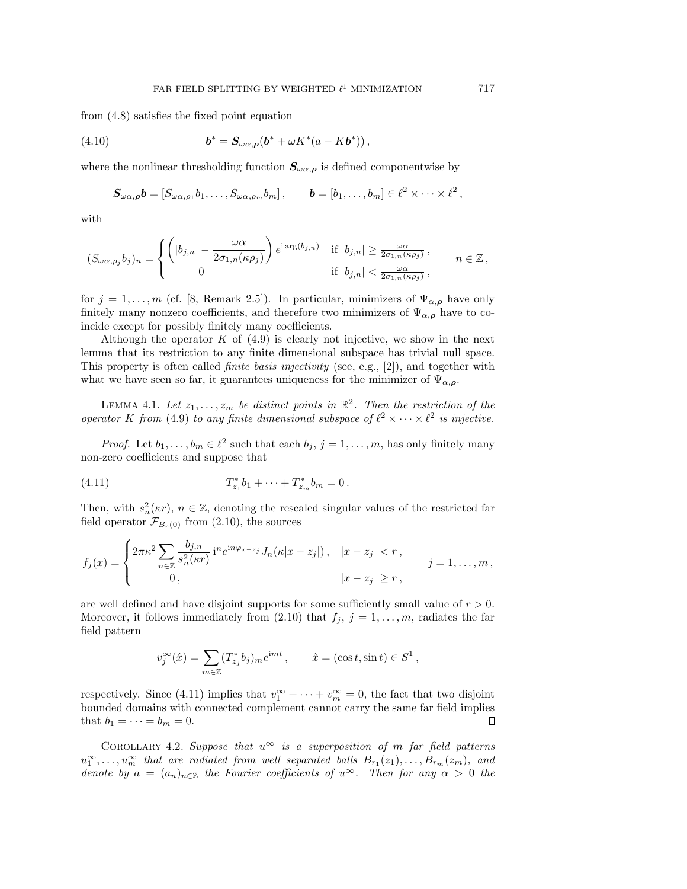from [\(4.8\)](#page-11-3) satisfies the fixed point equation

(4.10) *b*<sup>∗</sup> = *S*ωα,*ρ*(*b*<sup>∗</sup> + ωK∗(a − K*b*∗)),

where the nonlinear thresholding function  $S_{\omega\alpha,\rho}$  is defined componentwise by

<span id="page-12-1"></span>
$$
\mathbf{S}_{\omega\alpha,\boldsymbol{\rho}}\boldsymbol{b} = [S_{\omega\alpha,\rho_1}b_1,\ldots,S_{\omega\alpha,\rho_m}b_m], \qquad \boldsymbol{b} = [b_1,\ldots,b_m] \in \ell^2 \times \cdots \times \ell^2,
$$

with

$$
(S_{\omega\alpha,\rho_j}b_j)_n = \begin{cases} \left(|b_{j,n}| - \frac{\omega\alpha}{2\sigma_{1,n}(\kappa\rho_j)}\right) e^{i \arg(b_{j,n})} & \text{if } |b_{j,n}| \ge \frac{\omega\alpha}{2\sigma_{1,n}(\kappa\rho_j)}, \\ 0 & \text{if } |b_{j,n}| < \frac{\omega\alpha}{2\sigma_{1,n}(\kappa\rho_j)}, \end{cases} \qquad n \in \mathbb{Z},
$$

for  $j = 1, ..., m$  (cf. [\[8,](#page-24-10) Remark 2.5]). In particular, minimizers of  $\Psi_{\alpha,\rho}$  have only finitely many nonzero coefficients, and therefore two minimizers of  $\Psi_{\alpha,\rho}$  have to coincide except for possibly finitely many coefficients.

Although the operator  $K$  of  $(4.9)$  is clearly not injective, we show in the next lemma that its restriction to any finite dimensional subspace has trivial null space. This property is often called *finite basis injectivity* (see, e.g., [\[2\]](#page-24-16)), and together with what we have seen so far, it guarantees uniqueness for the minimizer of  $\Psi_{\alpha,\rho}$ .

LEMMA 4.1. Let  $z_1, \ldots, z_m$  be distinct points in  $\mathbb{R}^2$ . Then the restriction of the *operator* K from [\(4.9\)](#page-11-4) *to any finite dimensional subspace of*  $\ell^2 \times \cdots \times \ell^2$  *is injective.* 

*Proof.* Let  $b_1, \ldots, b_m \in \ell^2$  such that each  $b_j$ ,  $j = 1, \ldots, m$ , has only finitely many non-zero coefficients and suppose that

<span id="page-12-0"></span>(4.11) 
$$
T_{z_1}^*b_1 + \cdots + T_{z_m}^*b_m = 0.
$$

Then, with  $s_n^2(\kappa r)$ ,  $n \in \mathbb{Z}$ , denoting the rescaled singular values of the restricted far field operator  $\mathcal{F}_{B_r(0)}$  from [\(2.10\)](#page-4-7), the sources

$$
f_j(x) = \begin{cases} 2\pi\kappa^2 \sum_{n \in \mathbb{Z}} \frac{b_{j,n}}{s_n^2(\kappa r)} i^n e^{in\varphi_{x-z_j}} J_n(\kappa |x-z_j|), & |x-z_j| < r, \\ 0, & |x-z_j| \ge r, \end{cases}
$$
   
  $j = 1,...,m$ ,

are well defined and have disjoint supports for some sufficiently small value of  $r > 0$ . Moreover, it follows immediately from  $(2.10)$  that  $f_j, j = 1, \ldots, m$ , radiates the far field pattern

$$
v_j^{\infty}(\hat{x}) = \sum_{m \in \mathbb{Z}} (T_{z_j}^* b_j)_m e^{imt}, \qquad \hat{x} = (\cos t, \sin t) \in S^1,
$$

respectively. Since  $(4.11)$  implies that  $v_1^{\infty} + \cdots + v_m^{\infty} = 0$ , the fact that two disjoint bounded domains with connected complement cannot carry the same far field implies that  $b_1 = \cdots = b_m = 0$ .  $\Box$ 

COROLLARY 4.2. Suppose that  $u^{\infty}$  is a superposition of m far field patterns  $u_1^{\infty}, \ldots, u_m^{\infty}$  that are radiated from well separated balls  $B_{r_1}(z_1), \ldots, B_{r_m}(z_m)$ , and<br>denote by  $a = (a_1)$ , a the Fourier coefficients of  $u^{\infty}$ . Then for any  $\alpha > 0$ , the *denote by*  $a = (a_n)_{n \in \mathbb{Z}}$  *the Fourier coefficients of*  $u^{\infty}$ *. Then for any*  $\alpha > 0$  *the*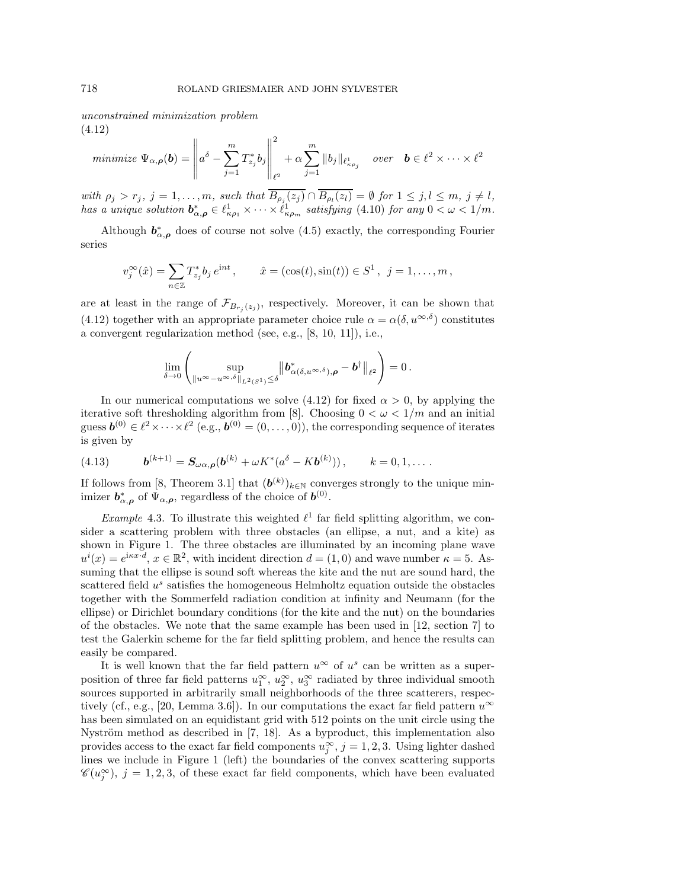*unconstrained minimization problem* (4.12)

<span id="page-13-0"></span>minimize 
$$
\Psi_{\alpha,\rho}(\boldsymbol{b}) = \left\| a^{\delta} - \sum_{j=1}^{m} T_{z_j}^* b_j \right\|_{\ell^2}^2 + \alpha \sum_{j=1}^{m} \|b_j\|_{\ell^1_{\kappa_{\rho_j}}} \quad \text{over} \quad \boldsymbol{b} \in \ell^2 \times \cdots \times \ell^2
$$

*with*  $\rho_j > r_j$ ,  $j = 1, \ldots, m$ , such that  $B_{\rho_j}(z_j) \cap B_{\rho_l}(z_l) = \emptyset$  for  $1 \leq j, l \leq m$ ,  $j \neq l$ , *has a unique solution*  $\mathbf{b}^*_{\alpha,\rho} \in \ell^1_{\kappa\rho_1} \times \cdots \times \ell^1_{\kappa\rho_m}$  *satisfying* [\(4.10\)](#page-12-1) *for any*  $0 < \omega < 1/m$ *.* 

Although  $b^*_{\alpha,\rho}$  does of course not solve [\(4.5\)](#page-10-2) exactly, the corresponding Fourier series

$$
v_j^{\infty}(\hat{x}) = \sum_{n \in \mathbb{Z}} T_{z_j}^* b_j e^{int}, \qquad \hat{x} = (\cos(t), \sin(t)) \in S^1, \ \ j = 1, ..., m,
$$

are at least in the range of  $\mathcal{F}_{B_{r_i}(z_j)}$ , respectively. Moreover, it can be shown that [\(4.12\)](#page-13-0) together with an appropriate parameter choice rule  $\alpha = \alpha(\delta, u^{\infty,\delta})$  constitutes a convergent regularization method (see, e.g., [\[8,](#page-24-10) [10,](#page-24-17) [11\]](#page-24-15)), i.e.,

$$
\lim_{\delta \to 0} \left( \sup_{\|u^{\infty} - u^{\infty,\delta}\|_{L^2(S^1)} \leq \delta} \left\| \boldsymbol{b}^*_{\alpha(\delta, u^{\infty,\delta}),\boldsymbol{\rho}} - \boldsymbol{b}^{\dagger} \right\|_{\ell^2} \right) = 0.
$$

In our numerical computations we solve [\(4.12\)](#page-13-0) for fixed  $\alpha > 0$ , by applying the iterative soft thresholding algorithm from [\[8\]](#page-24-10). Choosing  $0 < \omega < 1/m$  and an initial guess  $\mathbf{b}^{(0)} \in \ell^2 \times \cdots \times \ell^2$  (e.g.,  $\mathbf{b}^{(0)} = (0,\ldots,0)$ ), the corresponding sequence of iterates is given by

<span id="page-13-2"></span>(4.13) 
$$
\mathbf{b}^{(k+1)} = \mathbf{S}_{\omega\alpha,\rho}(\mathbf{b}^{(k)} + \omega K^*(a^{\delta} - K\mathbf{b}^{(k)})), \qquad k = 0, 1, \dots.
$$

If follows from [\[8,](#page-24-10) Theorem 3.1] that  $(\boldsymbol{b}^{(k)})_{k\in\mathbb{N}}$  converges strongly to the unique minimizer  $b^*_{\alpha,\rho}$  of  $\Psi_{\alpha,\rho}$ , regardless of the choice of  $b^{(0)}$ .

<span id="page-13-1"></span>*Example* 4.3. To illustrate this weighted  $\ell^1$  far field splitting algorithm, we consider a scattering problem with three obstacles (an ellipse, a nut, and a kite) as shown in Figure [1.](#page-14-0) The three obstacles are illuminated by an incoming plane wave  $u^{i}(x) = e^{i\kappa x \cdot d}, x \in \mathbb{R}^{2}$ , with incident direction  $d = (1,0)$  and wave number  $\kappa = 5$ . Assuming that the ellipse is sound soft whereas the kite and the nut are sound hard, the scattered field  $u<sup>s</sup>$  satisfies the homogeneous Helmholtz equation outside the obstacles together with the Sommerfeld radiation condition at infinity and Neumann (for the ellipse) or Dirichlet boundary conditions (for the kite and the nut) on the boundaries of the obstacles. We note that the same example has been used in [\[12,](#page-24-3) section 7] to test the Galerkin scheme for the far field splitting problem, and hence the results can easily be compared.

It is well known that the far field pattern  $u^{\infty}$  of  $u^{s}$  can be written as a superposition of three far field patterns  $u_1^{\infty}$ ,  $u_2^{\infty}$ ,  $u_3^{\infty}$  radiated by three individual smooth<br>sources supported in arbitrarily small poisbborhoods of the three scatterers, respec sources supported in arbitrarily small neighborhoods of the three scatterers, respec-tively (cf., e.g., [\[20,](#page-24-2) Lemma 3.6]). In our computations the exact far field pattern  $u^{\infty}$ has been simulated on an equidistant grid with 512 points on the unit circle using the Nyström method as described in  $[7, 18]$  $[7, 18]$ . As a byproduct, this implementation also provides access to the exact far field components  $u_j^{\infty}$ ,  $j = 1, 2, 3$ . Using lighter dashed lines we include in Figure [1](#page-14-0) (left) the boundaries of the convex scattering supports  $\mathscr{C}(u_i^{\infty})$ ,  $j = 1, 2, 3$ , of these exact far field components, which have been evaluated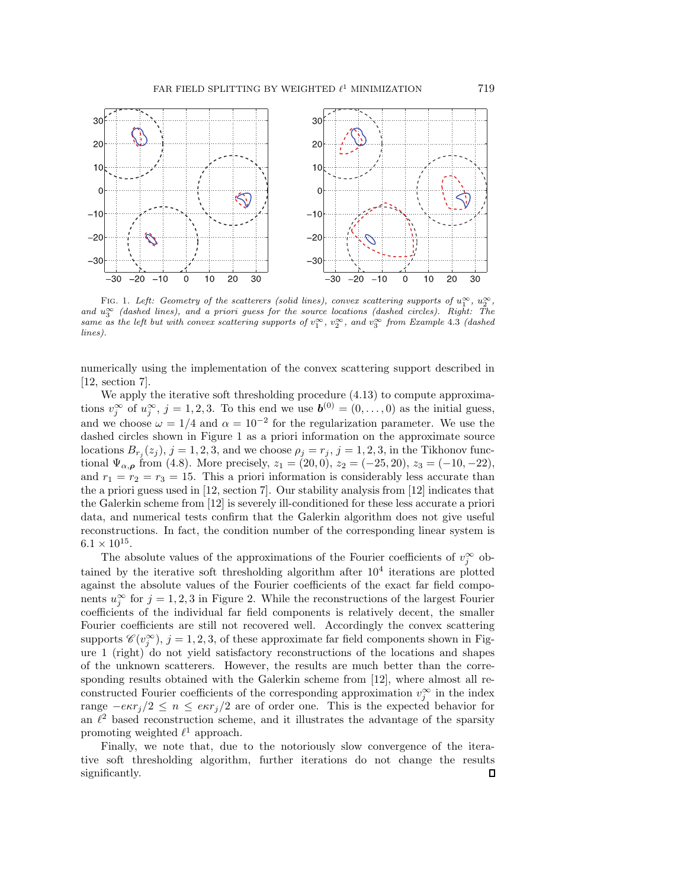<span id="page-14-0"></span>

FIG. 1. Left: Geometry of the scatterers (solid lines), convex scattering supports of  $u_1^{\infty}$ ,  $u_2^{\infty}$ , and  $u_3^{\infty}$  (dashed lines), and a priori guess for the source locations (dashed circles). Right: The same as the left but with convex scattering supports of  $v_1^{\infty}$ ,  $v_2^{\infty}$ , and  $v_3^{\infty}$  from Example [4.3](#page-13-1) (dashed lines).

numerically using the implementation of the convex scattering support described in [\[12,](#page-24-3) section 7].

We apply the iterative soft thresholding procedure  $(4.13)$  to compute approximations  $v_i^{\infty}$  of  $u_i^{\infty}$ ,  $j = 1, 2, 3$ . To this end we use  $\mathbf{b}^{(0)} = (0, \ldots, 0)$  as the initial guess, and we choose  $\omega = 1/4$  and  $\alpha = 10^{-2}$  for the regularization parameter. We use the dashed circles shown in Figure [1](#page-14-0) as a priori information on the approximate source locations  $B_{r_j}(z_j)$ ,  $j = 1, 2, 3$ , and we choose  $\rho_j = r_j$ ,  $j = 1, 2, 3$ , in the Tikhonov functional  $\Psi_{\alpha,\rho}$  from [\(4.8\)](#page-11-3). More precisely,  $z_1 = (20,0), z_2 = (-25,20), z_3 = (-10,-22),$ and  $r_1 = r_2 = r_3 = 15$ . This a priori information is considerably less accurate than the a priori guess used in [\[12,](#page-24-3) section 7]. Our stability analysis from [\[12\]](#page-24-3) indicates that the Galerkin scheme from [\[12\]](#page-24-3) is severely ill-conditioned for these less accurate a priori data, and numerical tests confirm that the Galerkin algorithm does not give useful reconstructions. In fact, the condition number of the corresponding linear system is  $6.1 \times 10^{15}$ .

The absolute values of the approximations of the Fourier coefficients of  $v_j^{\infty}$  obtained by the iterative soft thresholding algorithm after  $10<sup>4</sup>$  iterations are plotted against the absolute values of the Fourier coefficients of the exact far field components  $u_j^{\infty}$  for  $j = 1, 2, 3$  in Figure [2.](#page-15-1) While the reconstructions of the largest Fourier coefficients of the individual far field components is relatively decent, the smaller Fourier coefficients are still not recovered well. Accordingly the convex scattering supports  $\mathscr{C}(v_i^{\infty}), j = 1, 2, 3$ , of these approximate far field components shown in Figure [1](#page-14-0) (right) do not yield satisfactory reconstructions of the locations and shapes of the unknown scatterers. However, the results are much better than the corresponding results obtained with the Galerkin scheme from [\[12\]](#page-24-3), where almost all reconstructed Fourier coefficients of the corresponding approximation  $v_j^{\infty}$  in the index range  $-e\kappa r_j/2 \leq n \leq e\kappa r_j/2$  are of order one. This is the expected behavior for an  $\ell^2$  based reconstruction scheme, and it illustrates the advantage of the sparsity promoting weighted  $\ell^1$  approach.

Finally, we note that, due to the notoriously slow convergence of the iterative soft thresholding algorithm, further iterations do not change the results significantly. $\Box$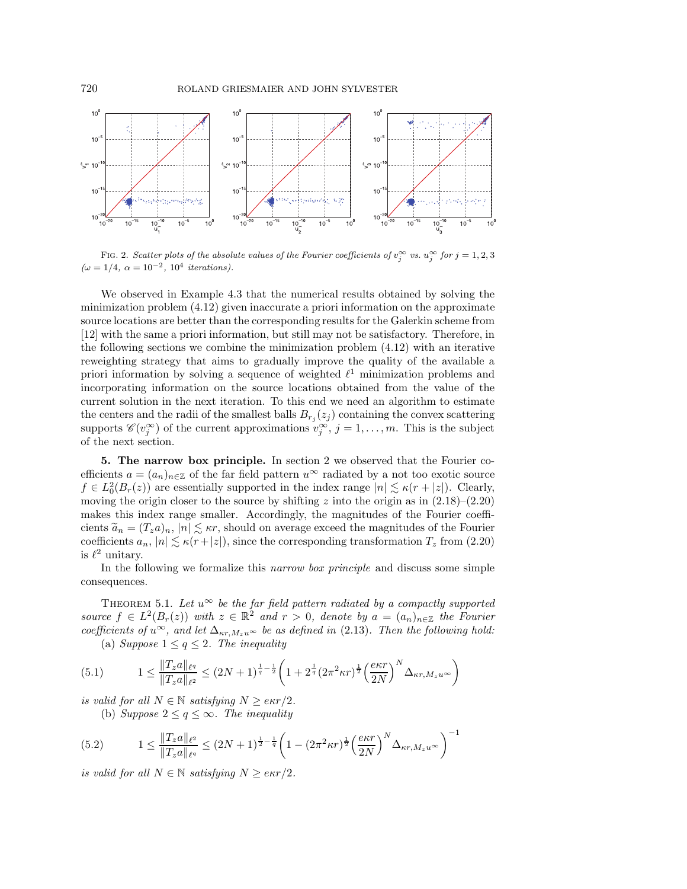<span id="page-15-1"></span>

FIG. 2. Scatter plots of the absolute values of the Fourier coefficients of  $v_j^{\infty}$  vs.  $u_j^{\infty}$  for  $j = 1, 2, 3$  $(\omega = 1/4, \ \alpha = 10^{-2}, \ 10^4 \text{ iterations}).$ 

We observed in Example [4.3](#page-13-1) that the numerical results obtained by solving the minimization problem [\(4.12\)](#page-13-0) given inaccurate a priori information on the approximate source locations are better than the corresponding results for the Galerkin scheme from [\[12\]](#page-24-3) with the same a priori information, but still may not be satisfactory. Therefore, in the following sections we combine the minimization problem [\(4.12\)](#page-13-0) with an iterative reweighting strategy that aims to gradually improve the quality of the available a priori information by solving a sequence of weighted  $\ell^1$  minimization problems and incorporating information on the source locations obtained from the value of the current solution in the next iteration. To this end we need an algorithm to estimate the centers and the radii of the smallest balls  $B_{r_i}(z_j)$  containing the convex scattering supports  $\mathscr{C}(v_i^{\infty})$  of the current approximations  $v_i^{\infty}, j = 1, \ldots, m$ . This is the subject of the next section.

<span id="page-15-0"></span>**5. The narrow box principle.** In section [2](#page-2-4) we observed that the Fourier coefficients  $a = (a_n)_{n \in \mathbb{Z}}$  of the far field pattern  $u^{\infty}$  radiated by a not too exotic source  $f \in L_0^2(B_r(z))$  are essentially supported in the index range  $|n| \lesssim \kappa (r+|z|)$ . Clearly,<br>moving the origin closer to the source by shifting z into the origin as in (2.18)–(2.20) moving the origin closer to the source by shifting z into the origin as in  $(2.18)–(2.20)$  $(2.18)–(2.20)$  $(2.18)–(2.20)$ makes this index range smaller. Accordingly, the magnitudes of the Fourier coefficients  $\tilde{a}_n = (T_z a)_n$ ,  $|n| \leq \kappa r$ , should on average exceed the magnitudes of the Fourier coefficients  $a_n$ ,  $|n| \lesssim \kappa (r+|z|)$ , since the corresponding transformation  $T_z$  from [\(2.20\)](#page-6-5) is  $\ell^2$  unitary.

<span id="page-15-4"></span>In the following we formalize this *narrow box principle* and discuss some simple consequences.

THEOREM 5.1. Let  $u^{\infty}$  be the far field pattern radiated by a compactly supported *source*  $f \in L^2(B_r(z))$  *with*  $z \in \mathbb{R}^2$  *and*  $r > 0$ *, denote by*  $a = (a_n)_{n \in \mathbb{Z}}$  *the Fourier coefficients of*  $u^{\infty}$ *, and let*  $\Delta_{\kappa r, M_z u^{\infty}}$  *be as defined in* [\(2.13\)](#page-4-8)*. Then the following hold:* (a) *Suppose*  $1 \leq q \leq 2$ *. The inequality* 

<span id="page-15-2"></span>
$$
(5.1) \t1 \leq \frac{\|T_z a\|_{\ell^q}}{\|T_z a\|_{\ell^2}} \leq (2N+1)^{\frac{1}{q}-\frac{1}{2}} \left(1 + 2^{\frac{1}{q}} (2\pi^2 \kappa r)^{\frac{1}{2}} \left(\frac{e\kappa r}{2N}\right)^N \Delta_{\kappa r, M_z u^{\infty}}\right)
$$

*is valid for all*  $N \in \mathbb{N}$  *satisfying*  $N \geq e \kappa r/2$ *.* 

<span id="page-15-3"></span>(b) *Suppose*  $2 \leq q \leq \infty$ *. The inequality* 

$$
(5.2) \t 1 \le \frac{\|T_z a\|_{\ell^2}}{\|T_z a\|_{\ell^q}} \le (2N+1)^{\frac{1}{2}-\frac{1}{q}} \left(1 - (2\pi^2 \kappa r)^{\frac{1}{2}} \left(\frac{e\kappa r}{2N}\right)^N \Delta_{\kappa r, M_z u^{\infty}}\right)^{-1}
$$

*is valid for all*  $N \in \mathbb{N}$  *satisfying*  $N \geq e \kappa r/2$ *.*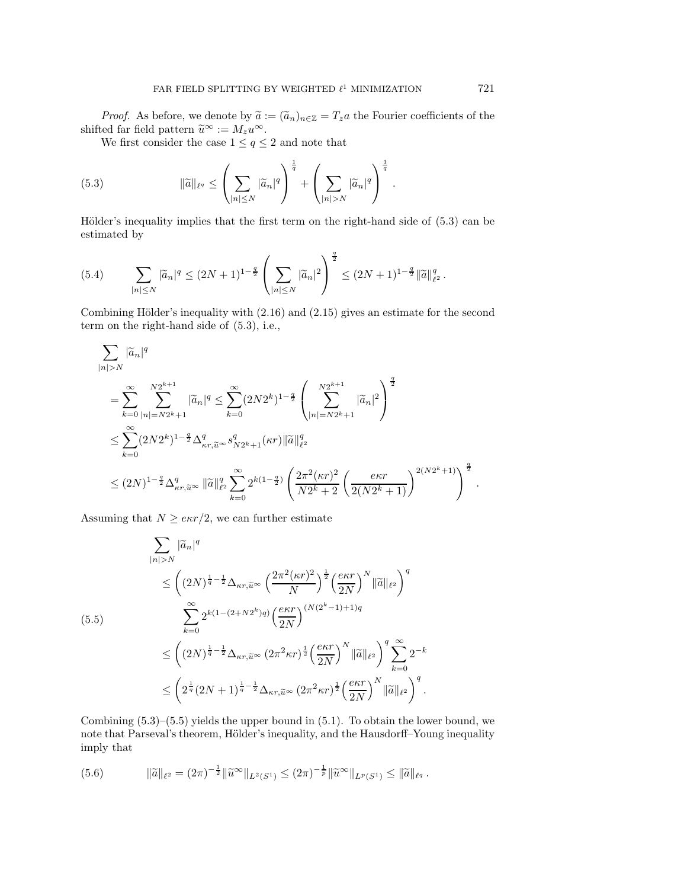*Proof.* As before, we denote by  $\tilde{a} := (\tilde{a}_n)_{n \in \mathbb{Z}} = T_z a$  the Fourier coefficients of the shifted far field pattern  $\widetilde{u}^\infty := M_z u^\infty.$ 

<span id="page-16-0"></span>We first consider the case  $1\leq q\leq 2$  and note that

(5.3) 
$$
\|\widetilde{a}\|_{\ell^q} \leq \left(\sum_{|n| \leq N} |\widetilde{a}_n|^q\right)^{\frac{1}{q}} + \left(\sum_{|n| > N} |\widetilde{a}_n|^q\right)^{\frac{1}{q}}.
$$

Hölder's inequality implies that the first term on the right-hand side of  $(5.3)$  can be estimated by

<span id="page-16-2"></span>
$$
(5.4) \qquad \sum_{|n| \le N} |\widetilde{a}_n|^q \le (2N+1)^{1-\frac{q}{2}} \left( \sum_{|n| \le N} |\widetilde{a}_n|^2 \right)^{\frac{q}{2}} \le (2N+1)^{1-\frac{q}{2}} ||\widetilde{a}||_{\ell^2}^q.
$$

Combining Hölder's inequality with  $(2.16)$  and  $(2.15)$  gives an estimate for the second term on the right-hand side of [\(5.3\)](#page-16-0), i.e.,

$$
\sum_{|n|>N} |\tilde{a}_n|^q
$$
\n
$$
= \sum_{k=0}^{\infty} \sum_{|n|=N2^k+1}^{N2^{k+1}} |\tilde{a}_n|^q \le \sum_{k=0}^{\infty} (2N2^k)^{1-\frac{q}{2}} \left( \sum_{|n|=N2^k+1}^{N2^{k+1}} |\tilde{a}_n|^2 \right)^{\frac{q}{2}}
$$
\n
$$
\le \sum_{k=0}^{\infty} (2N2^k)^{1-\frac{q}{2}} \Delta_{\kappa r, \tilde{u}^{\infty}}^q s_{N2^k+1}^q (\kappa r) ||\tilde{a}||_{\ell^2}^q
$$
\n
$$
\le (2N)^{1-\frac{q}{2}} \Delta_{\kappa r, \tilde{u}^{\infty}}^q ||\tilde{a}||_{\ell^2}^q \sum_{k=0}^{\infty} 2^{k(1-\frac{q}{2})} \left( \frac{2\pi^2 (\kappa r)^2}{N2^k+2} \left( \frac{e\kappa r}{2(N2^k+1)} \right)^{2(N2^k+1)} \right)^{\frac{q}{2}}.
$$

Assuming that  $N \geq e\kappa r/2$ , we can further estimate

<span id="page-16-1"></span>
$$
\sum_{|n|>N} |\tilde{a}_n|^q
$$
\n
$$
\leq \left( (2N)^{\frac{1}{q}-\frac{1}{2}} \Delta_{\kappa r, \tilde{u}^{\infty}} \left( \frac{2\pi^2 (\kappa r)^2}{N} \right)^{\frac{1}{2}} \left( \frac{e\kappa r}{2N} \right)^N \|\tilde{a}\|_{\ell^2} \right)^q
$$
\n
$$
(5.5) \qquad \sum_{k=0}^{\infty} 2^{k(1-(2+N2^k)q)} \left( \frac{e\kappa r}{2N} \right)^{(N(2^k-1)+1)q}
$$
\n
$$
\leq \left( (2N)^{\frac{1}{q}-\frac{1}{2}} \Delta_{\kappa r, \tilde{u}^{\infty}} \left( 2\pi^2 \kappa r \right)^{\frac{1}{2}} \left( \frac{e\kappa r}{2N} \right)^N \|\tilde{a}\|_{\ell^2} \right)^q \sum_{k=0}^{\infty} 2^{-k}
$$
\n
$$
\leq \left( 2^{\frac{1}{q}} (2N+1)^{\frac{1}{q}-\frac{1}{2}} \Delta_{\kappa r, \tilde{u}^{\infty}} \left( 2\pi^2 \kappa r \right)^{\frac{1}{2}} \left( \frac{e\kappa r}{2N} \right)^N \|\tilde{a}\|_{\ell^2} \right)^q.
$$

Combining  $(5.3)$ – $(5.5)$  yields the upper bound in  $(5.1)$ . To obtain the lower bound, we note that Parseval's theorem, Hölder's inequality, and the Hausdorff-Young inequality imply that

<span id="page-16-3"></span>
$$
(5.6) \t\t ||\widetilde{a}||_{\ell^2} = (2\pi)^{-\frac{1}{2}} ||\widetilde{u}^{\infty}||_{L^2(S^1)} \le (2\pi)^{-\frac{1}{p}} ||\widetilde{u}^{\infty}||_{L^p(S^1)} \le ||\widetilde{a}||_{\ell^q}.
$$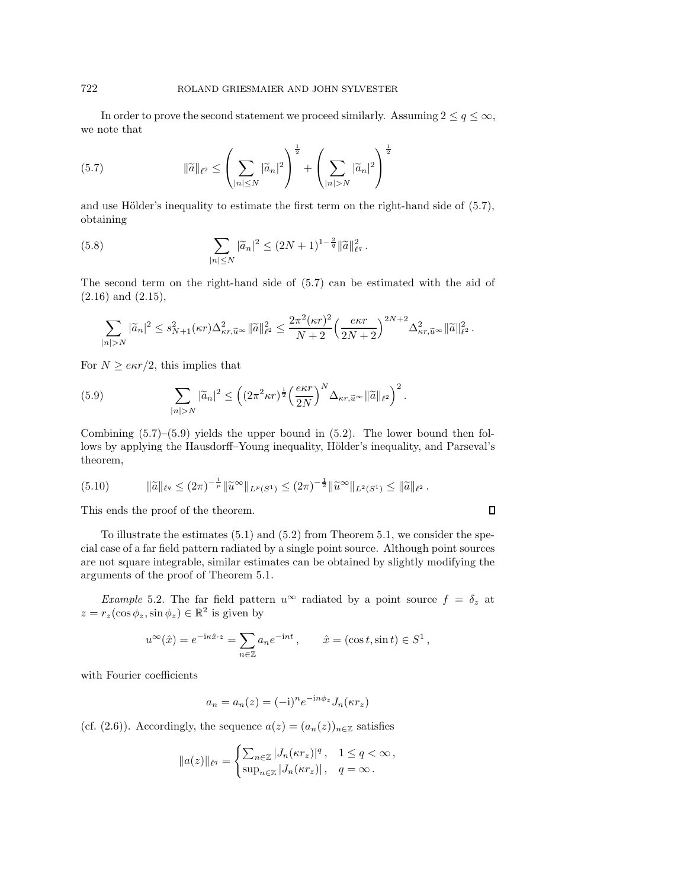In order to prove the second statement we proceed similarly. Assuming  $2\leq q\leq\infty,$ we note that

<span id="page-17-0"></span>(5.7) 
$$
\|\widetilde{a}\|_{\ell^2} \leq \left(\sum_{|n| \leq N} |\widetilde{a}_n|^2\right)^{\frac{1}{2}} + \left(\sum_{|n| > N} |\widetilde{a}_n|^2\right)^{\frac{1}{2}}
$$

and use Hölder's inequality to estimate the first term on the right-hand side of  $(5.7)$ , obtaining

(5.8) 
$$
\sum_{|n| \leq N} |\widetilde{a}_n|^2 \leq (2N+1)^{1-\frac{2}{q}} ||\widetilde{a}||_{\ell^q}^2.
$$

The second term on the right-hand side of [\(5.7\)](#page-17-0) can be estimated with the aid of [\(2.16\)](#page-5-3) and [\(2.15\)](#page-5-4),

<span id="page-17-2"></span>6) and (2.15),  
\n
$$
\sum_{|n|>N} |\tilde{a}_n|^2 \le s_{N+1}^2 (\kappa r) \Delta_{\kappa r, \tilde{u}^{\infty}}^2 ||\tilde{a}||_{\ell^2}^2 \le \frac{2\pi^2 (\kappa r)^2}{N+2} \left(\frac{e\kappa r}{2N+2}\right)^{2N+2} \Delta_{\kappa r, \tilde{u}^{\infty}}^2 ||\tilde{a}||_{\ell^2}^2.
$$

<span id="page-17-1"></span>For  $N \geq e\kappa r/2$ , this implies that

For 
$$
N \ge \epsilon \kappa r/2
$$
, this implies that  
\n(5.9) 
$$
\sum_{|n|>N} |\tilde{a}_n|^2 \le \left( (2\pi^2 \kappa r)^{\frac{1}{2}} \left( \frac{\epsilon \kappa r}{2N} \right)^N \Delta_{\kappa r, \tilde{u}^\infty} ||\tilde{a}||_{\ell^2} \right)^2.
$$

Combining  $(5.7)$ – $(5.9)$  yields the upper bound in  $(5.2)$ . The lower bound then follows by applying the Hausdorff–Young inequality, Hölder's inequality, and Parseval's theorem,

<span id="page-17-3"></span>
$$
(5.10) \t\t ||\widetilde{a}||_{\ell^q} \le (2\pi)^{-\frac{1}{p}} ||\widetilde{u}^{\infty}||_{L^p(S^1)} \le (2\pi)^{-\frac{1}{2}} ||\widetilde{u}^{\infty}||_{L^2(S^1)} \le ||\widetilde{a}||_{\ell^2}.
$$

This ends the proof of the theorem.

To illustrate the estimates [\(5.1\)](#page-15-2) and [\(5.2\)](#page-15-3) from Theorem [5.1,](#page-15-4) we consider the special case of a far field pattern radiated by a single point source. Although point sources are not square integrable, similar estimates can be obtained by slightly modifying the arguments of the proof of Theorem [5.1.](#page-15-4)

 $\Box$ 

*Example* 5.2. The far field pattern  $u^{\infty}$  radiated by a point source  $f = \delta_z$  at  $z = r_z(\cos \phi_z, \sin \phi_z) \in \mathbb{R}^2$  is given by

$$
u^{\infty}(\hat{x}) = e^{-i\kappa \hat{x} \cdot z} = \sum_{n \in \mathbb{Z}} a_n e^{-int}, \qquad \hat{x} = (\cos t, \sin t) \in S^1,
$$

with Fourier coefficients

$$
a_n = a_n(z) = (-i)^n e^{-in\phi_z} J_n(\kappa r_z)
$$

(cf. [\(2.6\)](#page-3-1)). Accordingly, the sequence  $a(z)=(a_n(z))_{n\in\mathbb{Z}}$  satisfies

$$
||a(z)||_{\ell^q} = \begin{cases} \sum_{n \in \mathbb{Z}} |J_n(\kappa r_z)|^q, & 1 \le q < \infty, \\ \sup_{n \in \mathbb{Z}} |J_n(\kappa r_z)|, & q = \infty. \end{cases}
$$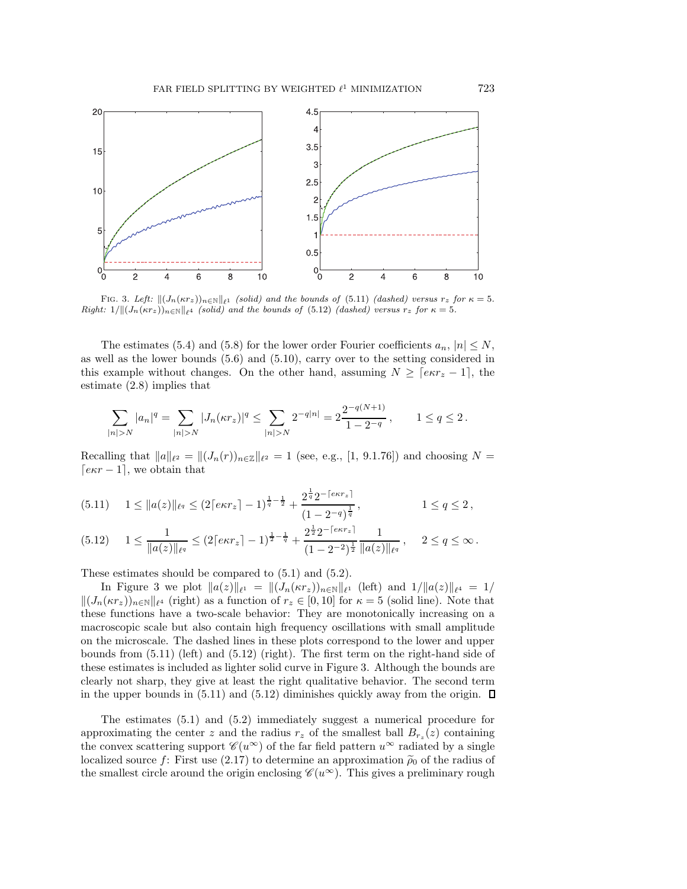<span id="page-18-2"></span>

FIG. 3. Left:  $\|(J_n(\kappa r_z))_{n\in\mathbb{N}}\|_{\ell^1}$  (solid) and the bounds of [\(5.11\)](#page-18-0) (dashed) versus  $r_z$  for  $\kappa = 5$ . Right:  $1/||(J_n(\kappa r_z))_{n\in\mathbb{N}}||_{\ell^4}$  (solid) and the bounds of [\(5.12\)](#page-18-1) (dashed) versus  $r_z$  for  $\kappa = 5$ .

The estimates [\(5.4\)](#page-16-2) and [\(5.8\)](#page-17-2) for the lower order Fourier coefficients  $a_n$ ,  $|n| \leq N$ , as well as the lower bounds [\(5.6\)](#page-16-3) and [\(5.10\)](#page-17-3), carry over to the setting considered in this example without changes. On the other hand, assuming  $N \geq \lceil \epsilon \kappa r_z - 1 \rceil$ , the estimate [\(2.8\)](#page-4-2) implies that

$$
\sum_{|n|>N} |a_n|^q = \sum_{|n|>N} |J_n(\kappa r_z)|^q \le \sum_{|n|>N} 2^{-q|n|} = 2 \frac{2^{-q(N+1)}}{1-2^{-q}}, \qquad 1 \le q \le 2.
$$

Recalling that  $||a||_{\ell^2} = ||(J_n(r))_{n\in\mathbb{Z}}||_{\ell^2} = 1$  (see, e.g., [\[1,](#page-24-19) 9.1.76]) and choosing  $N =$  $\lceil e\kappa r - 1 \rceil$ , we obtain that

<span id="page-18-0"></span>
$$
(5.11) \quad 1 \leq \|a(z)\|_{\ell^q} \leq (2\lceil e\kappa r_z \rceil - 1)^{\frac{1}{q} - \frac{1}{2}} + \frac{2^{\frac{1}{q}} 2^{-\lceil e\kappa r_z \rceil}}{(1 - 2^{-q})^{\frac{1}{q}}}, \qquad 1 \leq q \leq 2,
$$

<span id="page-18-1"></span>
$$
(5.12) \quad 1 \leq \frac{1}{\|a(z)\|_{\ell^q}} \leq (2\lceil \exp_z \rceil - 1)^{\frac{1}{2} - \frac{1}{q}} + \frac{2^{\frac{1}{2}} 2^{-\lceil \exp_z \rceil}}{(1 - 2^{-2})^{\frac{1}{2}}} \frac{1}{\|a(z)\|_{\ell^q}}, \quad 2 \leq q \leq \infty.
$$

These estimates should be compared to [\(5.1\)](#page-15-2) and [\(5.2\)](#page-15-3).

In Figure [3](#page-18-2) we plot  $||a(z)||_{\ell^1} = ||(J_n(\kappa r_z))_{n \in \mathbb{N}}||_{\ell^1}$  (left) and  $1/||a(z)||_{\ell^4} = 1/$  $\|(J_n(\kappa r_z))_{n\in\mathbb{N}}\|_{\ell^4}$  (right) as a function of  $r_z \in [0, 10]$  for  $\kappa = 5$  (solid line). Note that these functions have a two-scale behavior: They are monotonically increasing on a macroscopic scale but also contain high frequency oscillations with small amplitude on the microscale. The dashed lines in these plots correspond to the lower and upper bounds from [\(5.11\)](#page-18-0) (left) and [\(5.12\)](#page-18-1) (right). The first term on the right-hand side of these estimates is included as lighter solid curve in Figure [3.](#page-18-2) Although the bounds are clearly not sharp, they give at least the right qualitative behavior. The second term in the upper bounds in  $(5.11)$  and  $(5.12)$  diminishes quickly away from the origin.  $\Box$ 

The estimates [\(5.1\)](#page-15-2) and [\(5.2\)](#page-15-3) immediately suggest a numerical procedure for approximating the center z and the radius  $r_z$  of the smallest ball  $B_{r_z}(z)$  containing the convex scattering support  $\mathscr{C}(u^{\infty})$  of the far field pattern  $u^{\infty}$  radiated by a single localized source f: First use [\(2.17\)](#page-5-2) to determine an approximation  $\tilde{\rho}_0$  of the radius of the smallest circle around the origin enclosing  $\mathscr{C}(u^{\infty})$ . This gives a preliminary rough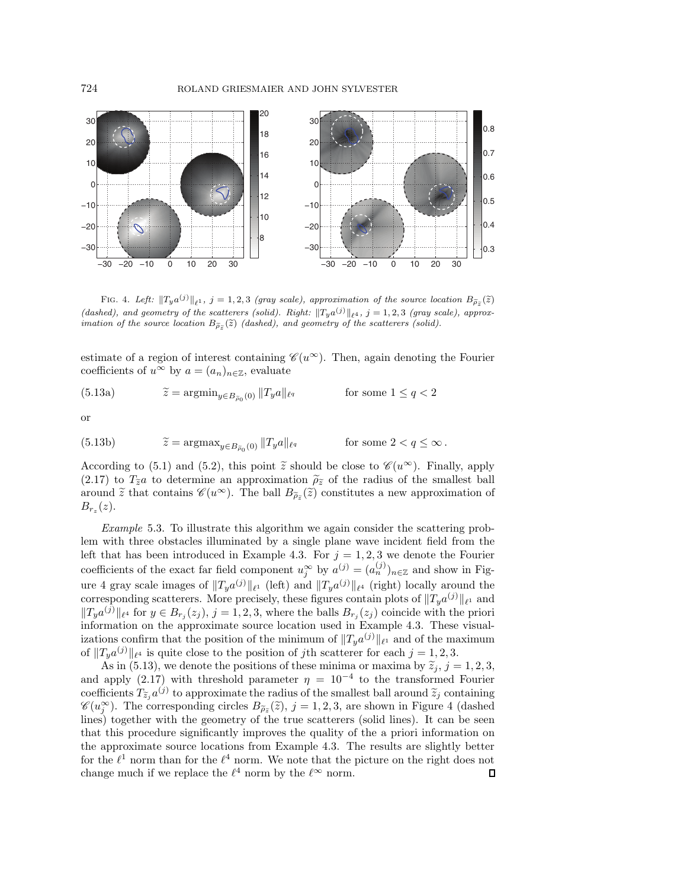<span id="page-19-0"></span>

*z*-(dashed), and geometry of the scatterers (solid). Right:  $||T_ya^{(j)}||_{\ell^4}$ ,  $j = 1, 2, 3$  (gray scale), approx-FIG. 4. Left:  $||T_y a^{(j)}||_{\ell^1}$ , j = (dashed), and geometry of the scaintion of the source location  $B_{\tilde{\rho}}$  $\frac{1}{z}$ imation of the source location  $B_{\widetilde{\rho}_{\widetilde{z}}}(\widetilde{z})$  (dashed), and geometry of the scatterers (solid).

estimate of a region of interest containing  $\mathscr{C}(u^{\infty})$ . Then, again denoting the Fourier coefficients of  $u^{\infty}$  by  $a = (a_n)_{n \in \mathbb{Z}}$ , evaluate

<span id="page-19-1"></span>coefficients of  $u^{\infty}$  by  $a = (a_n)_{n \in \mathbb{Z}}$ , evaluate<br>
(5.13a)  $\tilde{z} = \operatorname{argmin}_{y \in B_{\tilde{\rho}_0}(0)} ||T_y a||_{\ell^q}$  for some  $1 \le q < 2$ 

or

or  
\n(5.13b) 
$$
\widetilde{z} = \operatorname{argmax}_{y \in B_{\widetilde{\rho}_0}(0)} ||T_y a||_{\ell^q} \qquad \text{for some } 2 < q \le \infty.
$$

(5.13b)  $\tilde{z} = \operatorname{argmax}_{y \in B_{\tilde{\rho}_0}(0)} ||T_y a||_{\ell^q}$  for some  $2 < q \le \infty$ .<br>According to [\(5.1\)](#page-15-2) and [\(5.2\)](#page-15-3), this point  $\tilde{z}$  should be close to  $\mathscr{C}(u^{\infty})$ . Finally, apply<br>[\(2.17\)](#page-5-2) to  $T_{\tilde{z}}a$  to determine an approximati (2.17) to  $T_{\tilde{z}}a$  to determine an approximation  $\tilde{\rho}_{\tilde{z}}$  of the radius of the smallest ball According to (5.1) and (5.2), this point  $\tilde{z}$  should be close to  $\mathscr{C}(u^{\infty})$ . Finally, apply (2.17) to  $T_{\tilde{z}}a$  to determine an approximation  $\tilde{\rho}_{\tilde{z}}$  of the radius of the smallest ball around  $\tilde{z}$  tha 11<br>2⊂  $B_{r_{z}}(z)$ .

*Example* 5.3. To illustrate this algorithm we again consider the scattering problem with three obstacles illuminated by a single plane wave incident field from the left that has been introduced in Example [4.3.](#page-13-1) For  $j = 1, 2, 3$  we denote the Fourier coefficients of the exact far field component  $u_j^{\infty}$  by  $a^{(j)} = (a_n^{(j)})_{n \in \mathbb{Z}}$  and show in Fig-ure [4](#page-19-0) gray scale images of  $||T_ya^{(j)}||_{\ell^1}$  (left) and  $||T_ya^{(j)}||_{\ell^4}$  (right) locally around the corresponding scatterers. More precisely, these figures contain plots of  $||T_u a^{(j)}||_{\ell^1}$  and  $||T_u a^{(j)}||_{\ell^4}$  for  $y \in B_{r_i}(z_j)$ ,  $j = 1, 2, 3$ , where the balls  $B_{r_i}(z_j)$  coincide with the priori information on the approximate source location used in Example [4.3.](#page-13-1) These visualizations confirm that the position of the minimum of  $||T_u a^{(j)}||_{\ell^1}$  and of the maximum of  $||T_u a^{(j)}||_{\ell^4}$  is quite close to the position of jth scatterer for each  $j = 1, 2, 3$ .

of  $\|T_y a^{\cup \prime}\|_{\ell^4}$ <br>As in (5.1)<br>and apply (2)<br>coefficients  $T_{\widetilde{z}}$ As in [\(5.13\)](#page-19-1), we denote the positions of these minima or maxima by  $\tilde{z}_i$ ,  $j = 1, 2, 3$ , As in (5.13), we denote the positio<br>apply (2.17) with threshold paraficients  $T_{\tilde{z}_j} a^{(j)}$  to approximate the<br> $\tilde{r}$ ). The corresponding circles  $B_{\tilde{\rho}}$ and apply [\(2.17\)](#page-5-2) with threshold parameter  $\eta = 10^{-4}$  to the transformed Fourier d<br>∠ُ coefficients  $T_{\tilde{z}_i} a^{(j)}$  to approximate the radius of the smallest ball around  $\tilde{z}_j$  containing  $\mathscr{C}(u_j^{\infty})$ . The corresponding circles  $B_{\tilde{\rho}_z}(\tilde{z}), j = 1, 2, 3$ , are shown in Figure [4](#page-19-0) (dashed lines) together with the geometry of the true scatterers (solid lines). It can be seen lines) together with the geometry of the true scatterers (solid lines). It can be seen that this procedure significantly improves the quality of the a priori information on the approximate source locations from Example [4.3.](#page-13-1) The results are slightly better for the  $\ell^1$  norm than for the  $\ell^4$  norm. We note that the picture on the right does not  $\Box$ change much if we replace the  $\ell^4$  norm by the  $\ell^{\infty}$  norm.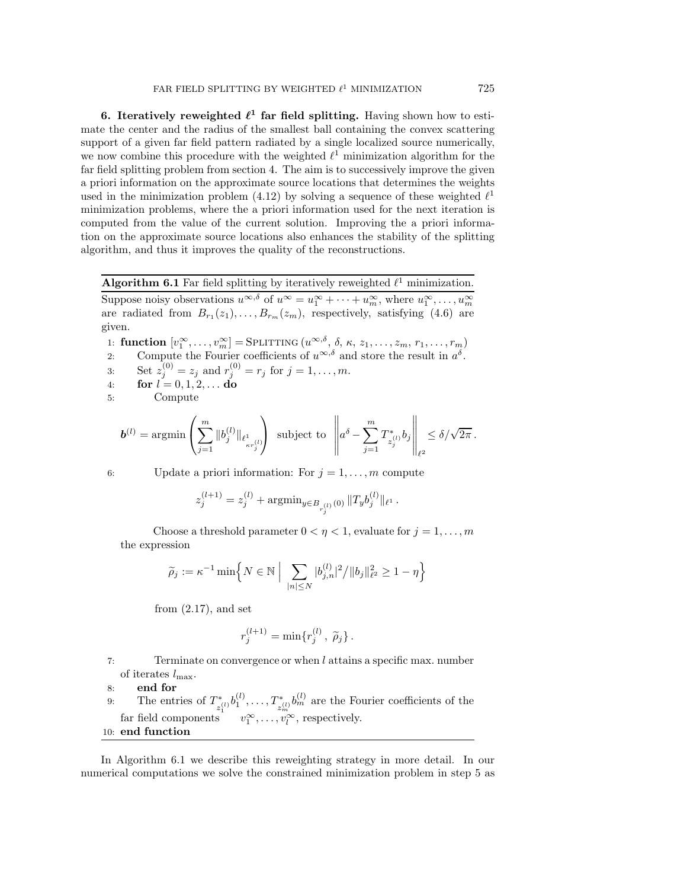<span id="page-20-0"></span>**6.** Iteratively reweighted  $\ell^1$  far field splitting. Having shown how to estimate the center and the radius of the smallest ball containing the convex scattering support of a given far field pattern radiated by a single localized source numerically, we now combine this procedure with the weighted  $\ell^1$  minimization algorithm for the far field splitting problem from section [4.](#page-9-0) The aim is to successively improve the given a priori information on the approximate source locations that determines the weights used in the minimization problem [\(4.12\)](#page-13-0) by solving a sequence of these weighted  $\ell^1$ minimization problems, where the a priori information used for the next iteration is computed from the value of the current solution. Improving the a priori information on the approximate source locations also enhances the stability of the splitting algorithm, and thus it improves the quality of the reconstructions.

<span id="page-20-1"></span>**Algorithm 6.1** Far field splitting by iteratively reweighted  $\ell^1$  minimization. Suppose noisy observations  $u^{\infty,\delta}$  of  $u^{\infty} = u_1^{\infty} + \cdots + u_m^{\infty}$ , where  $u_1^{\infty}, \ldots, u_m^{\infty}$ are radiated from  $B_{r_1}(z_1), \ldots, B_{r_m}(z_m)$ , respectively, satisfying [\(4.6\)](#page-11-5) are given.

1: **function**  $[v_1^{\infty}, \ldots, v_m^{\infty}]$  = SPLITTING  $(u^{\infty,\delta}, \delta, \kappa, z_1, \ldots, z_m, r_1, \ldots, r_m)$ <br>2: Compute the Fourier coefficients of  $u^{\infty,\delta}$  and store the result in  $a^{\delta}$ .

- 
- 3: Set  $z_i^{(0)} = z_j$  and  $r_i^{(0)} = r_j$  for  $j = 1, ..., m$ .
- 4: **for**  $l = 0, 1, 2, ...$  **do**
- 5: Compute

$$
\boldsymbol{b}^{(l)} = \mathop{\rm argmin}\left(\sum_{j=1}^m \|b_j^{(l)}\|_{\ell^1_{\kappa r_j^{(l)}}}\right) \text{ subject to } \left\|a^{\delta} - \sum_{j=1}^m T_{z_j^{(l)}}^* b_j\right\|_{\ell^2} \le \delta/\sqrt{2\pi}\,.
$$

6: Update a priori information: For  $j = 1, \ldots, m$  compute

$$
z_j^{(l+1)} = z_j^{(l)} + \mathrm{argmin}_{y \in B_{r_j^{(l)}}(0)} ||T_y b_j^{(l)}||_{\ell^1}.
$$

Choose a threshold parameter  $0 < \eta < 1$ , evaluate for  $j = 1, \ldots, m$ the expression

$$
\widetilde{\rho}_j := \kappa^{-1} \min \Big\{ N \in \mathbb{N} \; \Big| \; \sum_{|n| \le N} |b_{j,n}^{(l)}|^2 / \|b_j\|_{\ell^2}^2 \ge 1 - \eta \Big\}
$$

from  $(2.17)$ , and set

$$
r_j^{(l+1)} = \min \{ r_j^{(l)} \,,\; \widetilde{\rho}_j \} \,.
$$

7: Terminate on convergence or when l attains a specific max. number of iterates  $l_{\text{max}}$ .

- 8: **end for**
- 9: The entries of  $T_{z_1^{(l)}}^* b_1^{(l)}, \ldots, T_{z_m^{(l)}}^* b_m^{(l)}$  are the Fourier coefficients of the far field components  $v_1^{\infty}, \ldots, v_l^{\infty}$ , respectively. 10: **end function**

In Algorithm [6.1](#page-20-1) we describe this reweighting strategy in more detail. In our numerical computations we solve the constrained minimization problem in step 5 as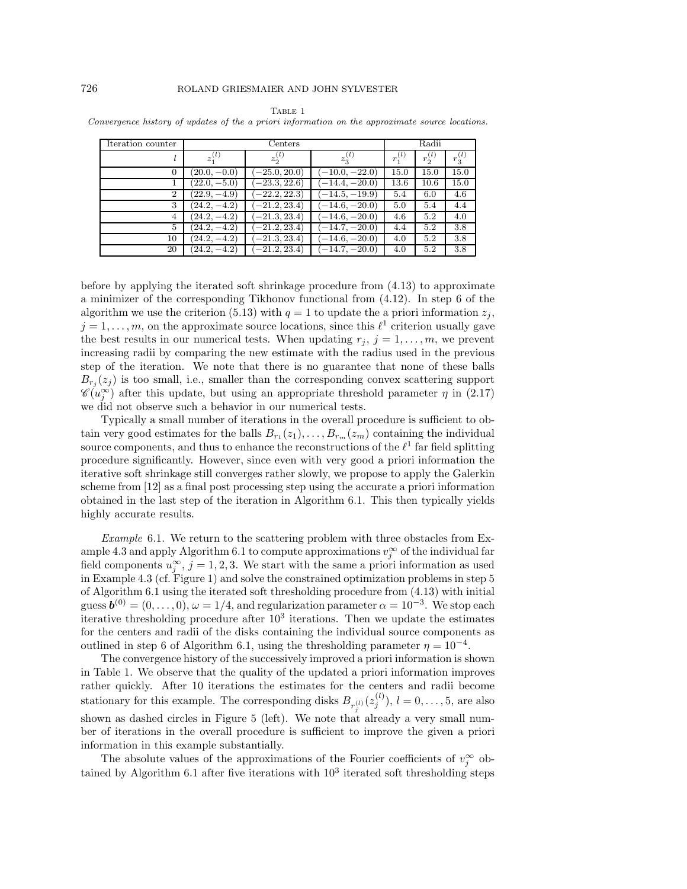| Iteration counter | Centers        |                           |                  | Radii       |             |             |
|-------------------|----------------|---------------------------|------------------|-------------|-------------|-------------|
|                   | $z_1^{(l)}$    | $z_2^{(l)}$               | $z_3^{(l)}$      | $r_1^{(l)}$ | $r_2^{(l)}$ | $r_3^{(l)}$ |
| 0                 | $(20.0, -0.0)$ | $(-25.0, 20.0)$           | $(-10.0, -22.0)$ | 15.0        | 15.0        | 15.0        |
|                   | $(22.0, -5.0)$ | $\overline{-23.3}, 22.6)$ | $-14.4, -20.0$   | 13.6        | 10.6        | 15.0        |
| $\overline{2}$    | $(22.9, -4.9)$ | $(-22.2, 22.3)$           | $-14.5, -19.9)$  | 5.4         | 6.0         | 4.6         |
| 3                 | $(24.2, -4.2)$ | $-21.2, 23.4)$            | $(-14.6, -20.0)$ | 5.0         | 5.4         | 4.4         |
| 4                 | $(24.2, -4.2)$ | $-21.3, 23.4)$            | $-14.6, -20.0$   | 4.6         | 5.2         | 4.0         |
| 5                 | $(24.2, -4.2)$ | $(-21.2, 23.4)$           | $(-14.7, -20.0)$ | 4.4         | 5.2         | 3.8         |
| 10                | $(24.2, -4.2)$ | $(-21.3, 23.4)$           | $-14.6, -20.0$   | 4.0         | 5.2         | 3.8         |
| 20                | $(24.2, -4.2)$ | $(-21.2, 23.4)$           | $-14.7, -20.0$   | 4.0         | 5.2         | 3.8         |

<span id="page-21-0"></span>Table 1 Convergence history of updates of the a priori information on the approximate source locations.

before by applying the iterated soft shrinkage procedure from [\(4.13\)](#page-13-2) to approximate a minimizer of the corresponding Tikhonov functional from [\(4.12\)](#page-13-0). In step 6 of the algorithm we use the criterion [\(5.13\)](#page-19-1) with  $q = 1$  to update the a priori information  $z_j$ ,  $j = 1, \ldots, m$ , on the approximate source locations, since this  $\ell^1$  criterion usually gave the best results in our numerical tests. When updating  $r_j$ ,  $j = 1, \ldots, m$ , we prevent increasing radii by comparing the new estimate with the radius used in the previous step of the iteration. We note that there is no guarantee that none of these balls  $B_{r_i}(z_j)$  is too small, i.e., smaller than the corresponding convex scattering support  $\mathscr{C}(u_i^{\infty})$  after this update, but using an appropriate threshold parameter  $\eta$  in [\(2.17\)](#page-5-2) we did not observe such a behavior in our numerical tests.

Typically a small number of iterations in the overall procedure is sufficient to obtain very good estimates for the balls  $B_{r_1}(z_1),\ldots,B_{r_m}(z_m)$  containing the individual source components, and thus to enhance the reconstructions of the  $\ell^1$  far field splitting procedure significantly. However, since even with very good a priori information the iterative soft shrinkage still converges rather slowly, we propose to apply the Galerkin scheme from [\[12\]](#page-24-3) as a final post processing step using the accurate a priori information obtained in the last step of the iteration in Algorithm [6.1.](#page-20-1) This then typically yields highly accurate results.

*Example* 6.1. We return to the scattering problem with three obstacles from Ex-ample [4.3](#page-13-1) and apply Algorithm [6.1](#page-20-1) to compute approximations  $v_j^{\infty}$  of the individual far field components  $u_i^{\infty}$ ,  $j = 1, 2, 3$ . We start with the same a priori information as used in Example [4.3](#page-13-1) (cf. Figure [1\)](#page-14-0) and solve the constrained optimization problems in step 5 of Algorithm [6.1](#page-20-1) using the iterated soft thresholding procedure from [\(4.13\)](#page-13-2) with initial guess  $\mathbf{b}^{(0)} = (0,\ldots,0), \omega = 1/4$ , and regularization parameter  $\alpha = 10^{-3}$ . We stop each iterative thresholding procedure after  $10<sup>3</sup>$  iterations. Then we update the estimates for the centers and radii of the disks containing the individual source components as outlined in step 6 of Algorithm [6.1,](#page-20-1) using the thresholding parameter  $\eta = 10^{-4}$ .

The convergence history of the successively improved a priori information is shown in Table [1.](#page-21-0) We observe that the quality of the updated a priori information improves rather quickly. After 10 iterations the estimates for the centers and radii become stationary for this example. The corresponding disks  $B_{r_j^{(l)}}(z_j^{(l)})$ ,  $l = 0, \ldots, 5$ , are also shown as dashed circles in Figure [5](#page-22-0) (left). We note that already a very small number of iterations in the overall procedure is sufficient to improve the given a priori information in this example substantially.

The absolute values of the approximations of the Fourier coefficients of  $v_j^{\infty}$  ob-tained by Algorithm [6.1](#page-20-1) after five iterations with  $10^3$  iterated soft thresholding steps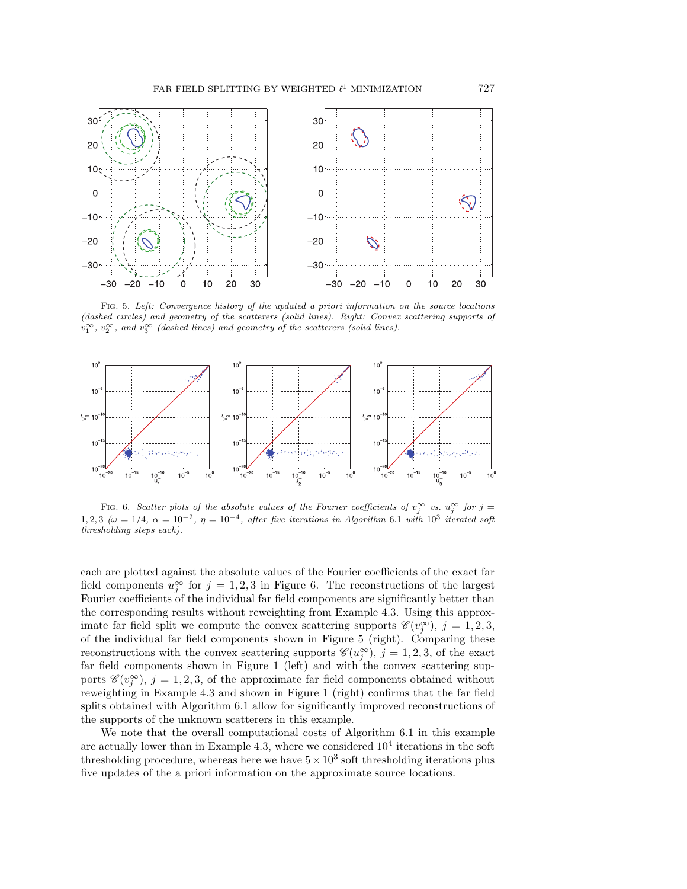<span id="page-22-0"></span>

Fig. 5. Left: Convergence history of the updated a priori information on the source locations (dashed circles) and geometry of the scatterers (solid lines). Right: Convex scattering supports of  $v_1^{\infty}$ ,  $v_2^{\infty}$ , and  $v_3^{\infty}$  (dashed lines) and geometry of the scatterers (solid lines).

<span id="page-22-1"></span>

FIG. 6. Scatter plots of the absolute values of the Fourier coefficients of  $v_j^{\infty}$  vs.  $u_j^{\infty}$  for  $j =$ 1, 2, 3 ( $\omega = 1/4$ ,  $\alpha = 10^{-2}$ ,  $\eta = 10^{-4}$ , after five iterations in Algorithm [6.1](#page-20-1) with 10<sup>3</sup> iterated soft thresholding steps each).

each are plotted against the absolute values of the Fourier coefficients of the exact far field components  $u_j^{\infty}$  for  $j = 1, 2, 3$  in Figure [6.](#page-22-1) The reconstructions of the largest Fourier coefficients of the individual far field components are significantly better than the corresponding results without reweighting from Example [4.3.](#page-13-1) Using this approximate far field split we compute the convex scattering supports  $\mathscr{C}(v_i^{\infty}), j = 1, 2, 3$ , of the individual far field components shown in Figure [5](#page-22-0) (right). Comparing these reconstructions with the convex scattering supports  $\mathscr{C}(u_i^{\infty}), j = 1, 2, 3$ , of the exact far field components shown in Figure [1](#page-14-0) (left) and with the convex scattering supports  $\mathscr{C}(v_i^{\infty})$ ,  $j = 1, 2, 3$ , of the approximate far field components obtained without reweighting in Example [4.3](#page-13-1) and shown in Figure [1](#page-14-0) (right) confirms that the far field splits obtained with Algorithm [6.1](#page-20-1) allow for significantly improved reconstructions of the supports of the unknown scatterers in this example.

We note that the overall computational costs of Algorithm [6.1](#page-20-1) in this example are actually lower than in Example [4.3,](#page-13-1) where we considered  $10<sup>4</sup>$  iterations in the soft thresholding procedure, whereas here we have  $5 \times 10^3$  soft thresholding iterations plus five updates of the a priori information on the approximate source locations.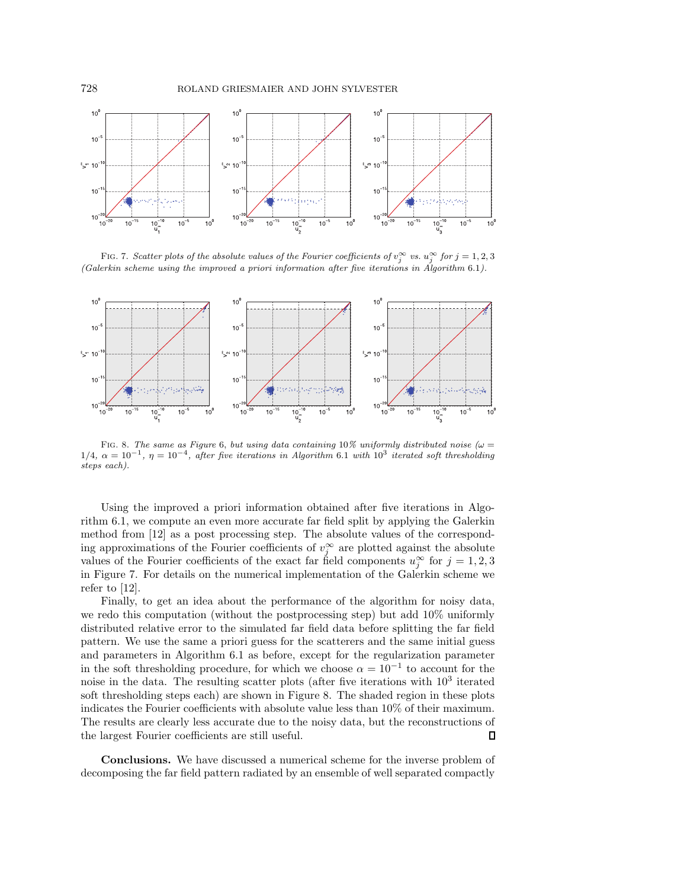<span id="page-23-0"></span>

FIG. 7. Scatter plots of the absolute values of the Fourier coefficients of  $v_j^{\infty}$  vs.  $u_j^{\infty}$  for  $j = 1, 2, 3$ (Galerkin scheme using the improved a priori information after five iterations in Algorithm [6.1](#page-20-1)).

<span id="page-23-1"></span>

FIG. 8. The same as Figure [6,](#page-22-1) but using data containing  $10\%$  uniformly distributed noise ( $\omega =$  $1/4$ ,  $\alpha = 10^{-1}$ ,  $\eta = 10^{-4}$ , after five iterations in Algorithm [6.1](#page-20-1) with  $10^3$  iterated soft thresholding steps each).

Using the improved a priori information obtained after five iterations in Algorithm [6.1,](#page-20-1) we compute an even more accurate far field split by applying the Galerkin method from [\[12\]](#page-24-3) as a post processing step. The absolute values of the corresponding approximations of the Fourier coefficients of  $v_i^{\infty}$  are plotted against the absolute values of the Fourier coefficients of the exact far field components  $u_j^{\infty}$  for  $j = 1, 2, 3$ in Figure [7.](#page-23-0) For details on the numerical implementation of the Galerkin scheme we refer to [\[12\]](#page-24-3).

Finally, to get an idea about the performance of the algorithm for noisy data, we redo this computation (without the postprocessing step) but add 10% uniformly distributed relative error to the simulated far field data before splitting the far field pattern. We use the same a priori guess for the scatterers and the same initial guess and parameters in Algorithm [6.1](#page-20-1) as before, except for the regularization parameter in the soft thresholding procedure, for which we choose  $\alpha = 10^{-1}$  to account for the noise in the data. The resulting scatter plots (after five iterations with  $10^3$  iterated soft thresholding steps each) are shown in Figure [8.](#page-23-1) The shaded region in these plots indicates the Fourier coefficients with absolute value less than 10% of their maximum. The results are clearly less accurate due to the noisy data, but the reconstructions of the largest Fourier coefficients are still useful.  $\Box$ 

**Conclusions.** We have discussed a numerical scheme for the inverse problem of decomposing the far field pattern radiated by an ensemble of well separated compactly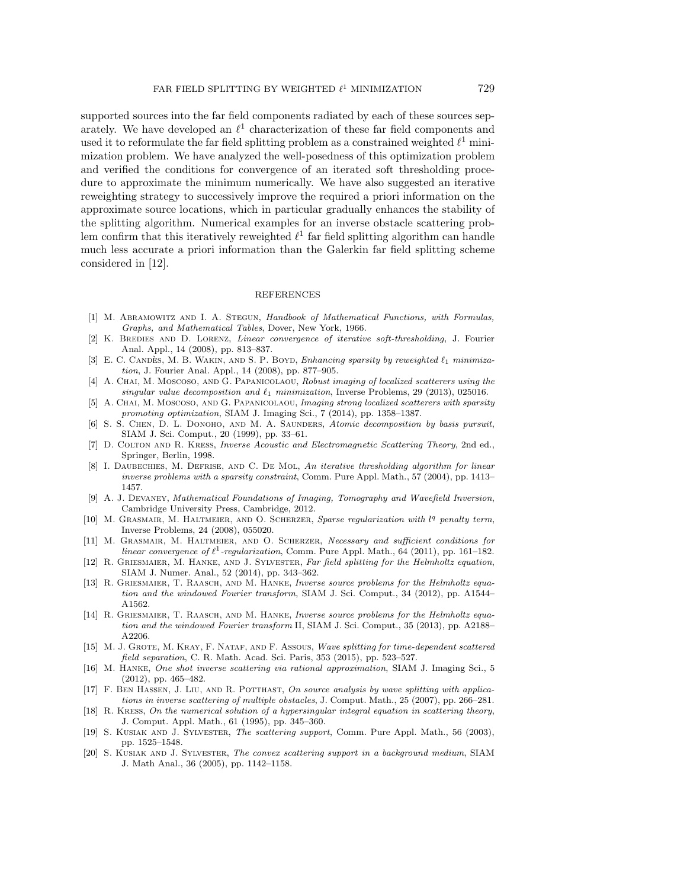supported sources into the far field components radiated by each of these sources separately. We have developed an  $\ell^1$  characterization of these far field components and used it to reformulate the far field splitting problem as a constrained weighted  $\ell^1$  minimization problem. We have analyzed the well-posedness of this optimization problem and verified the conditions for convergence of an iterated soft thresholding procedure to approximate the minimum numerically. We have also suggested an iterative reweighting strategy to successively improve the required a priori information on the approximate source locations, which in particular gradually enhances the stability of the splitting algorithm. Numerical examples for an inverse obstacle scattering problem confirm that this iteratively reweighted  $\ell^1$  far field splitting algorithm can handle much less accurate a priori information than the Galerkin far field splitting scheme considered in [\[12\]](#page-24-3).

## REFERENCES

- <span id="page-24-19"></span>[1] M. ABRAMOWITZ AND I. A. STEGUN, Handbook of Mathematical Functions, with Formulas, Graphs, and Mathematical Tables, Dover, New York, 1966.
- <span id="page-24-16"></span>[2] K. Bredies and D. Lorenz, Linear convergence of iterative soft-thresholding, J. Fourier Anal. Appl., 14 (2008), pp. 813–837.
- <span id="page-24-11"></span>[3] E. C. CANDES, M. B. WAKIN, AND S. P. BOYD, *Enhancing sparsity by reweighted*  $\ell_1$  minimization, J. Fourier Anal. Appl., 14 (2008), pp. 877–905.
- <span id="page-24-4"></span>[4] A. CHAI, M. MOSCOSO, AND G. PAPANICOLAOU, Robust imaging of localized scatterers using the singular value decomposition and  $\ell_1$  minimization, Inverse Problems, 29 (2013), 025016.
- <span id="page-24-5"></span>[5] A. CHAI, M. MOSCOSO, AND G. PAPANICOLAOU, Imaging strong localized scatterers with sparsity promoting optimization, SIAM J. Imaging Sci., 7 (2014), pp. 1358–1387.
- <span id="page-24-9"></span>[6] S. S. CHEN, D. L. DONOHO, AND M. A. SAUNDERS, Atomic decomposition by basis pursuit, SIAM J. Sci. Comput., 20 (1999), pp. 33–61.
- <span id="page-24-14"></span>[7] D. COLTON AND R. KRESS, *Inverse Acoustic and Electromagnetic Scattering Theory*, 2nd ed., Springer, Berlin, 1998.
- <span id="page-24-10"></span>[8] I. DAUBECHIES, M. DEFRISE, AND C. DE MOL, An iterative thresholding algorithm for linear inverse problems with a sparsity constraint, Comm. Pure Appl. Math., 57 (2004), pp. 1413– 1457.
- <span id="page-24-0"></span>[9] A. J. Devaney, Mathematical Foundations of Imaging, Tomography and Wavefield Inversion, Cambridge University Press, Cambridge, 2012.
- <span id="page-24-17"></span>[10] M. GRASMAIR, M. HALTMEIER, AND O. SCHERZER, Sparse regularization with l<sup>q</sup> penalty term, Inverse Problems, 24 (2008), 055020.
- <span id="page-24-15"></span>[11] M. Grasmair, M. Haltmeier, and O. Scherzer, Necessary and sufficient conditions for linear convergence of  $\ell^1$ -regularization, Comm. Pure Appl. Math.,  $64$  (2011), pp. 161–182.
- <span id="page-24-3"></span>[12] R. GRIESMAIER, M. HANKE, AND J. SYLVESTER, Far field splitting for the Helmholtz equation, SIAM J. Numer. Anal., 52 (2014), pp. 343–362.
- <span id="page-24-6"></span>[13] R. GRIESMAIER, T. RAASCH, AND M. HANKE, Inverse source problems for the Helmholtz equation and the windowed Fourier transform, SIAM J. Sci. Comput., 34 (2012), pp. A1544– A1562.
- <span id="page-24-7"></span>[14] R. GRIESMAIER, T. RAASCH, AND M. HANKE, Inverse source problems for the Helmholtz equation and the windowed Fourier transform II, SIAM J. Sci. Comput., 35 (2013), pp. A2188– A2206.
- <span id="page-24-13"></span>[15] M. J. GROTE, M. KRAY, F. NATAF, AND F. ASSOUS, Wave splitting for time-dependent scattered field separation, C. R. Math. Acad. Sci. Paris, 353 (2015), pp. 523–527.
- <span id="page-24-8"></span>[16] M. Hanke, One shot inverse scattering via rational approximation, SIAM J. Imaging Sci., 5 (2012), pp. 465–482.
- <span id="page-24-12"></span>[17] F. BEN HASSEN, J. LIU, AND R. POTTHAST, On source analysis by wave splitting with applications in inverse scattering of multiple obstacles, J. Comput. Math., 25 (2007), pp. 266–281.
- <span id="page-24-18"></span>[18] R. KRESS, On the numerical solution of a hypersingular integral equation in scattering theory, J. Comput. Appl. Math., 61 (1995), pp. 345–360.
- <span id="page-24-1"></span>[19] S. Kusiak and J. Sylvester, The scattering support, Comm. Pure Appl. Math., 56 (2003), pp. 1525–1548.
- <span id="page-24-2"></span>[20] S. Kusiak and J. Sylvester, The convex scattering support in a background medium, SIAM J. Math Anal., 36 (2005), pp. 1142–1158.